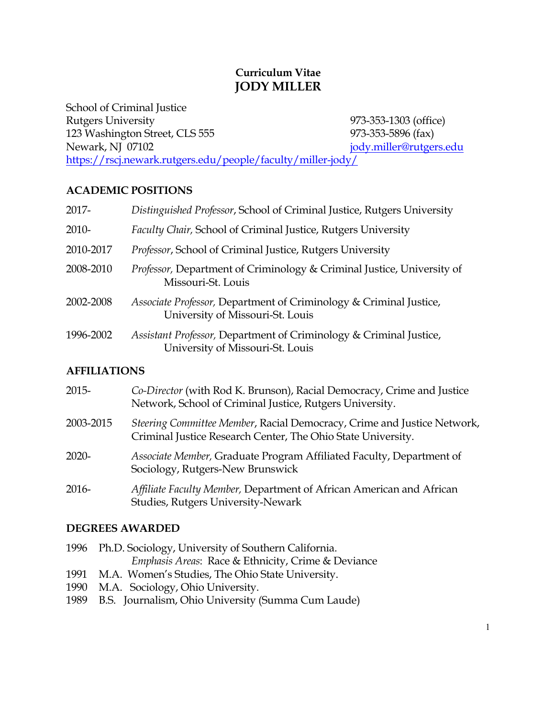# **Curriculum Vitae JODY MILLER**

School of Criminal Justice Rutgers University 973-353-1303 (office) 123 Washington Street, CLS 555 973-353-5896 (fax) Newark, NJ 07102 jody.miller@rutgers.edu https://rscj.newark.rutgers.edu/people/faculty/miller-jody/

# **ACADEMIC POSITIONS**

| 2017-               | Distinguished Professor, School of Criminal Justice, Rutgers University                                |  |
|---------------------|--------------------------------------------------------------------------------------------------------|--|
| 2010-               | Faculty Chair, School of Criminal Justice, Rutgers University                                          |  |
| 2010-2017           | <i>Professor, School of Criminal Justice, Rutgers University</i>                                       |  |
| 2008-2010           | Professor, Department of Criminology & Criminal Justice, University of<br>Missouri-St. Louis           |  |
| 2002-2008           | Associate Professor, Department of Criminology & Criminal Justice,<br>University of Missouri-St. Louis |  |
| 1996-2002           | Assistant Professor, Department of Criminology & Criminal Justice,<br>University of Missouri-St. Louis |  |
| <b>AFFILIATIONS</b> |                                                                                                        |  |

# 2015- *Co-Director* (with Rod K. Brunson), Racial Democracy, Crime and Justice Network, School of Criminal Justice, Rutgers University. 2003-2015 *Steering Committee Member*, Racial Democracy, Crime and Justice Network, Criminal Justice Research Center, The Ohio State University. 2020- *Associate Member,* Graduate Program Affiliated Faculty, Department of Sociology, Rutgers-New Brunswick 2016- *Affiliate Faculty Member,* Department of African American and African Studies, Rutgers University-Newark

# **DEGREES AWARDED**

|      | 1996 Ph.D. Sociology, University of Southern California.          |
|------|-------------------------------------------------------------------|
|      | <i>Emphasis Areas: Race &amp; Ethnicity, Crime &amp; Deviance</i> |
| 1991 | M.A. Women's Studies, The Ohio State University.                  |

- 1990 M.A. Sociology, Ohio University.
- 1989 B.S. Journalism, Ohio University (Summa Cum Laude)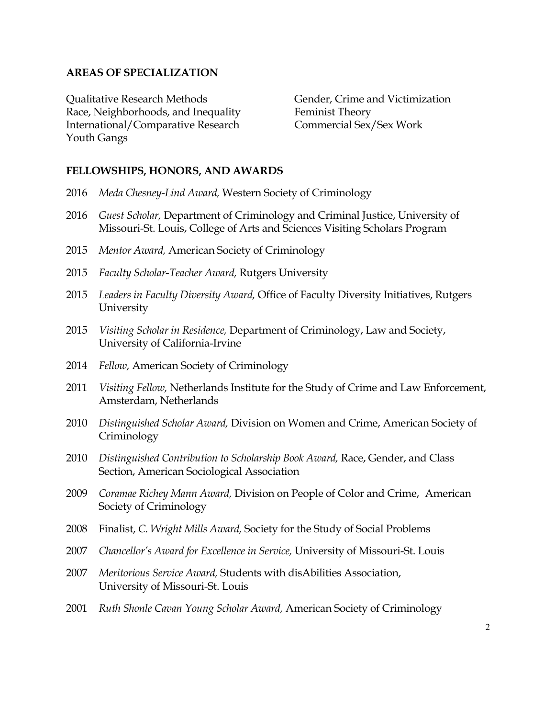#### **AREAS OF SPECIALIZATION**

Qualitative Research Methods Gender, Crime and Victimization Race, Neighborhoods, and Inequality Feminist Theory International/Comparative Research Commercial Sex/Sex Work Youth Gangs

#### **FELLOWSHIPS, HONORS, AND AWARDS**

- 2016 *Meda Chesney-Lind Award,* Western Society of Criminology
- 2016 *Guest Scholar,* Department of Criminology and Criminal Justice, University of Missouri-St. Louis, College of Arts and Sciences Visiting Scholars Program
- 2015 *Mentor Award,* American Society of Criminology
- 2015 *Faculty Scholar-Teacher Award,* Rutgers University
- 2015 *Leaders in Faculty Diversity Award,* Office of Faculty Diversity Initiatives, Rutgers University
- 2015 *Visiting Scholar in Residence,* Department of Criminology, Law and Society, University of California-Irvine
- 2014 *Fellow,* American Society of Criminology
- 2011 *Visiting Fellow,* Netherlands Institute for the Study of Crime and Law Enforcement, Amsterdam, Netherlands
- 2010 *Distinguished Scholar Award,* Division on Women and Crime, American Society of **Criminology**
- 2010 *Distinguished Contribution to Scholarship Book Award,* Race, Gender, and Class Section, American Sociological Association
- 2009 *Coramae Richey Mann Award,* Division on People of Color and Crime, American Society of Criminology
- 2008 Finalist, *C. Wright Mills Award,* Society for the Study of Social Problems
- 2007 *Chancellor's Award for Excellence in Service,* University of Missouri-St. Louis
- 2007 *Meritorious Service Award,* Students with disAbilities Association, University of Missouri-St. Louis
- 2001 *Ruth Shonle Cavan Young Scholar Award,* American Society of Criminology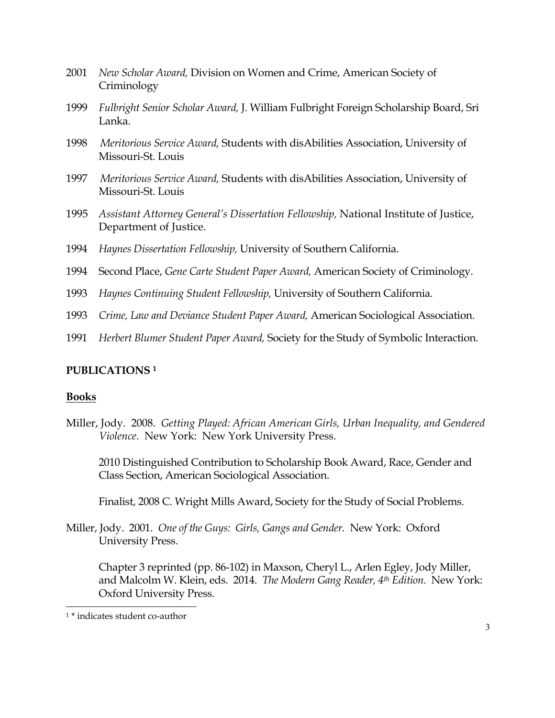- 2001 *New Scholar Award,* Division on Women and Crime, American Society of Criminology
- 1999 *Fulbright Senior Scholar Award,* J. William Fulbright Foreign Scholarship Board, Sri Lanka.
- 1998 *Meritorious Service Award,* Students with disAbilities Association, University of Missouri-St. Louis
- 1997 *Meritorious Service Award,* Students with disAbilities Association, University of Missouri-St. Louis
- 1995 *Assistant Attorney General's Dissertation Fellowship,* National Institute of Justice, Department of Justice.
- 1994 *Haynes Dissertation Fellowship,* University of Southern California.
- 1994 Second Place, *Gene Carte Student Paper Award,* American Society of Criminology.
- 1993 *Haynes Continuing Student Fellowship,* University of Southern California.
- 1993 *Crime, Law and Deviance Student Paper Award,* American Sociological Association.
- 1991 *Herbert Blumer Student Paper Award,* Society for the Study of Symbolic Interaction.

# **PUBLICATIONS <sup>1</sup>**

#### **Books**

Miller, Jody. 2008. *Getting Played: African American Girls, Urban Inequality, and Gendered Violence.* New York: New York University Press.

2010 Distinguished Contribution to Scholarship Book Award, Race, Gender and Class Section, American Sociological Association.

Finalist, 2008 C. Wright Mills Award, Society for the Study of Social Problems.

Miller, Jody. 2001. *One of the Guys: Girls, Gangs and Gender.* New York: Oxford University Press.

Chapter 3 reprinted (pp. 86-102) in Maxson, Cheryl L., Arlen Egley, Jody Miller, and Malcolm W. Klein, eds. 2014. *The Modern Gang Reader, 4th Edition.* New York: Oxford University Press.

<sup>1</sup> \* indicates student co-author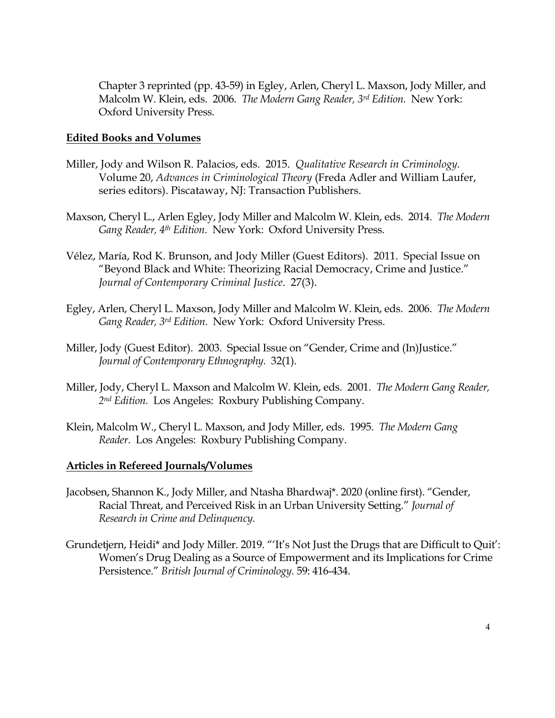Chapter 3 reprinted (pp. 43-59) in Egley, Arlen, Cheryl L. Maxson, Jody Miller, and Malcolm W. Klein, eds. 2006. *The Modern Gang Reader, 3rd Edition.* New York: Oxford University Press.

#### **Edited Books and Volumes**

- Miller, Jody and Wilson R. Palacios, eds. 2015. *Qualitative Research in Criminology.* Volume 20, *Advances in Criminological Theory* (Freda Adler and William Laufer, series editors). Piscataway, NJ: Transaction Publishers.
- Maxson, Cheryl L., Arlen Egley, Jody Miller and Malcolm W. Klein, eds. 2014. *The Modern Gang Reader, 4th Edition.* New York: Oxford University Press.
- Vélez, María, Rod K. Brunson, and Jody Miller (Guest Editors). 2011. Special Issue on "Beyond Black and White: Theorizing Racial Democracy, Crime and Justice." *Journal of Contemporary Criminal Justice*. 27(3).
- Egley, Arlen, Cheryl L. Maxson, Jody Miller and Malcolm W. Klein, eds. 2006. *The Modern Gang Reader, 3rd Edition.* New York: Oxford University Press.
- Miller, Jody (Guest Editor). 2003. Special Issue on "Gender, Crime and (In)Justice." *Journal of Contemporary Ethnography.* 32(1).
- Miller, Jody, Cheryl L. Maxson and Malcolm W. Klein, eds. 2001. *The Modern Gang Reader, 2nd Edition.* Los Angeles: Roxbury Publishing Company.
- Klein, Malcolm W., Cheryl L. Maxson, and Jody Miller, eds. 1995. *The Modern Gang Reader.* Los Angeles: Roxbury Publishing Company.

#### **Articles in Refereed Journals/Volumes**

- Jacobsen, Shannon K., Jody Miller, and Ntasha Bhardwaj\*. 2020 (online first). "Gender, Racial Threat, and Perceived Risk in an Urban University Setting." *Journal of Research in Crime and Delinquency.*
- Grundetjern, Heidi\* and Jody Miller. 2019. "'It's Not Just the Drugs that are Difficult to Quit': Women's Drug Dealing as a Source of Empowerment and its Implications for Crime Persistence." *British Journal of Criminology.* 59: 416-434.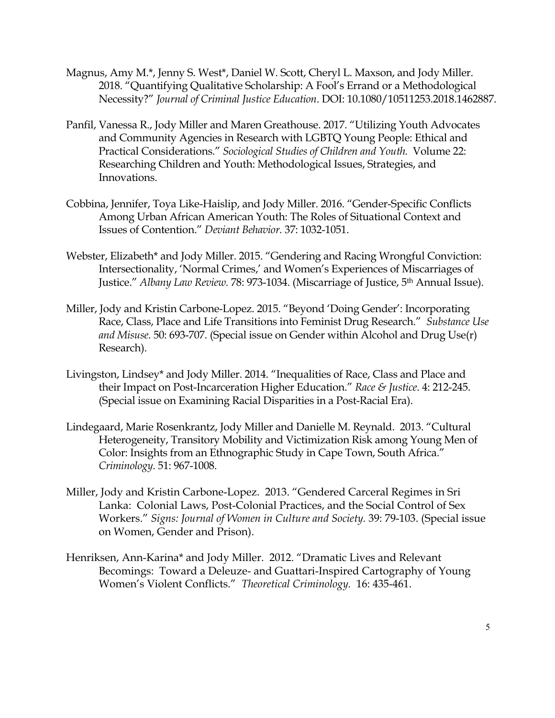- Magnus, Amy M.\*, Jenny S. West\*, Daniel W. Scott, Cheryl L. Maxson, and Jody Miller. 2018. "Quantifying Qualitative Scholarship: A Fool's Errand or a Methodological Necessity?" *Journal of Criminal Justice Education*. DOI: 10.1080/10511253.2018.1462887.
- Panfil, Vanessa R., Jody Miller and Maren Greathouse. 2017. "Utilizing Youth Advocates and Community Agencies in Research with LGBTQ Young People: Ethical and Practical Considerations." *Sociological Studies of Children and Youth.* Volume 22: Researching Children and Youth: Methodological Issues, Strategies, and Innovations.
- Cobbina, Jennifer, Toya Like-Haislip, and Jody Miller. 2016. "Gender-Specific Conflicts Among Urban African American Youth: The Roles of Situational Context and Issues of Contention." *Deviant Behavior.* 37: 1032-1051.
- Webster, Elizabeth\* and Jody Miller. 2015. "Gendering and Racing Wrongful Conviction: Intersectionality, 'Normal Crimes,' and Women's Experiences of Miscarriages of Justice." *Albany Law Review.* 78: 973-1034. (Miscarriage of Justice, 5th Annual Issue).
- Miller, Jody and Kristin Carbone-Lopez. 2015. "Beyond 'Doing Gender': Incorporating Race, Class, Place and Life Transitions into Feminist Drug Research." *Substance Use and Misuse.* 50: 693-707. (Special issue on Gender within Alcohol and Drug Use(r) Research).
- Livingston, Lindsey\* and Jody Miller. 2014. "Inequalities of Race, Class and Place and their Impact on Post-Incarceration Higher Education." *Race & Justice*. 4: 212-245. (Special issue on Examining Racial Disparities in a Post-Racial Era).
- Lindegaard, Marie Rosenkrantz, Jody Miller and Danielle M. Reynald. 2013. "Cultural Heterogeneity, Transitory Mobility and Victimization Risk among Young Men of Color: Insights from an Ethnographic Study in Cape Town, South Africa." *Criminology*. 51: 967-1008.
- Miller, Jody and Kristin Carbone-Lopez. 2013. "Gendered Carceral Regimes in Sri Lanka: Colonial Laws, Post-Colonial Practices, and the Social Control of Sex Workers." *Signs: Journal of Women in Culture and Society.* 39: 79-103. (Special issue on Women, Gender and Prison).
- Henriksen, Ann-Karina\* and Jody Miller. 2012. "Dramatic Lives and Relevant Becomings: Toward a Deleuze- and Guattari-Inspired Cartography of Young Women's Violent Conflicts." *Theoretical Criminology.* 16: 435-461.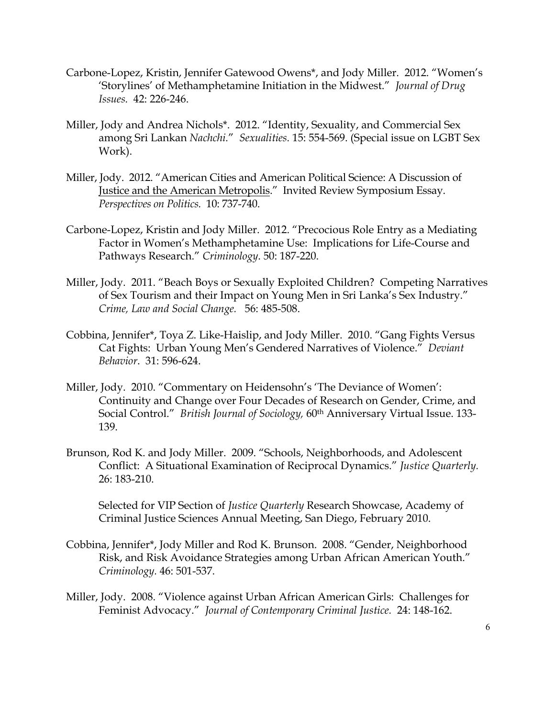- Carbone-Lopez, Kristin, Jennifer Gatewood Owens\*, and Jody Miller. 2012. "Women's 'Storylines' of Methamphetamine Initiation in the Midwest." *Journal of Drug Issues.* 42: 226-246.
- Miller, Jody and Andrea Nichols\*. 2012. "Identity, Sexuality, and Commercial Sex among Sri Lankan *Nachchi.*" *Sexualities.* 15: 554-569. (Special issue on LGBT Sex Work).
- Miller, Jody. 2012. "American Cities and American Political Science: A Discussion of Justice and the American Metropolis." Invited Review Symposium Essay. *Perspectives on Politics.* 10: 737-740.
- Carbone-Lopez, Kristin and Jody Miller. 2012. "Precocious Role Entry as a Mediating Factor in Women's Methamphetamine Use: Implications for Life-Course and Pathways Research." *Criminology*. 50: 187-220.
- Miller, Jody. 2011. "Beach Boys or Sexually Exploited Children? Competing Narratives of Sex Tourism and their Impact on Young Men in Sri Lanka's Sex Industry." *Crime, Law and Social Change.* 56: 485-508.
- Cobbina, Jennifer\*, Toya Z. Like-Haislip, and Jody Miller. 2010. "Gang Fights Versus Cat Fights: Urban Young Men's Gendered Narratives of Violence." *Deviant Behavior*. 31: 596-624.
- Miller, Jody. 2010. "Commentary on Heidensohn's 'The Deviance of Women': Continuity and Change over Four Decades of Research on Gender, Crime, and Social Control." *British Journal of Sociology,* 60th Anniversary Virtual Issue. 133- 139.
- Brunson, Rod K. and Jody Miller. 2009. "Schools, Neighborhoods, and Adolescent Conflict: A Situational Examination of Reciprocal Dynamics." *Justice Quarterly.* 26: 183-210.

Selected for VIP Section of *Justice Quarterly* Research Showcase, Academy of Criminal Justice Sciences Annual Meeting, San Diego, February 2010.

- Cobbina, Jennifer\*, Jody Miller and Rod K. Brunson. 2008. "Gender, Neighborhood Risk, and Risk Avoidance Strategies among Urban African American Youth." *Criminology.* 46: 501-537.
- Miller, Jody. 2008. "Violence against Urban African American Girls: Challenges for Feminist Advocacy." *Journal of Contemporary Criminal Justice.* 24: 148-162.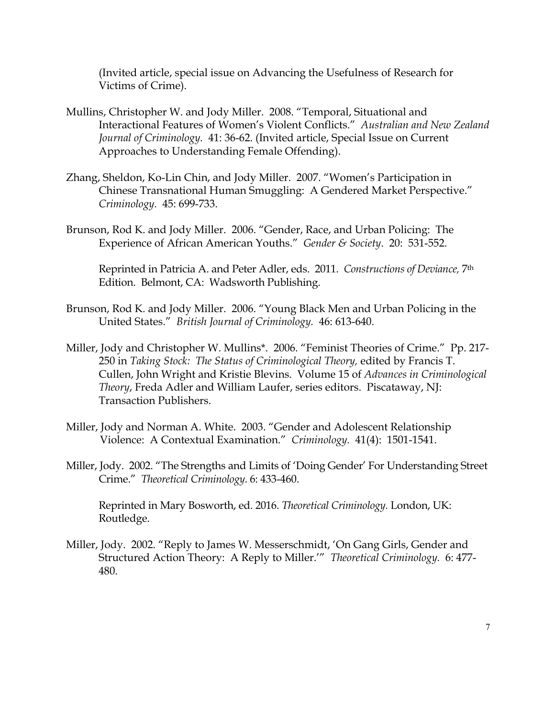(Invited article, special issue on Advancing the Usefulness of Research for Victims of Crime).

- Mullins, Christopher W. and Jody Miller. 2008. "Temporal, Situational and Interactional Features of Women's Violent Conflicts." *Australian and New Zealand Journal of Criminology.* 41: 36-62. (Invited article, Special Issue on Current Approaches to Understanding Female Offending).
- Zhang, Sheldon, Ko-Lin Chin, and Jody Miller. 2007. "Women's Participation in Chinese Transnational Human Smuggling: A Gendered Market Perspective." *Criminology.* 45: 699-733.
- Brunson, Rod K. and Jody Miller. 2006. "Gender, Race, and Urban Policing: The Experience of African American Youths." *Gender & Society*. 20: 531-552.

Reprinted in Patricia A. and Peter Adler, eds. 2011. *Constructions of Deviance,* 7th Edition. Belmont, CA: Wadsworth Publishing.

- Brunson, Rod K. and Jody Miller. 2006. "Young Black Men and Urban Policing in the United States." *British Journal of Criminology.* 46: 613-640.
- Miller, Jody and Christopher W. Mullins\*. 2006. "Feminist Theories of Crime." Pp. 217- 250 in *Taking Stock: The Status of Criminological Theory,* edited by Francis T. Cullen, John Wright and Kristie Blevins. Volume 15 of *Advances in Criminological Theory*, Freda Adler and William Laufer, series editors. Piscataway, NJ: Transaction Publishers.
- Miller, Jody and Norman A. White. 2003. "Gender and Adolescent Relationship Violence: A Contextual Examination." *Criminology.* 41(4): 1501-1541.
- Miller, Jody. 2002. "The Strengths and Limits of 'Doing Gender' For Understanding Street Crime." *Theoretical Criminology*. 6: 433-460.

Reprinted in Mary Bosworth, ed. 2016. *Theoretical Criminology.* London, UK: Routledge.

Miller, Jody. 2002. "Reply to James W. Messerschmidt, 'On Gang Girls, Gender and Structured Action Theory: A Reply to Miller.'" *Theoretical Criminology.* 6: 477- 480.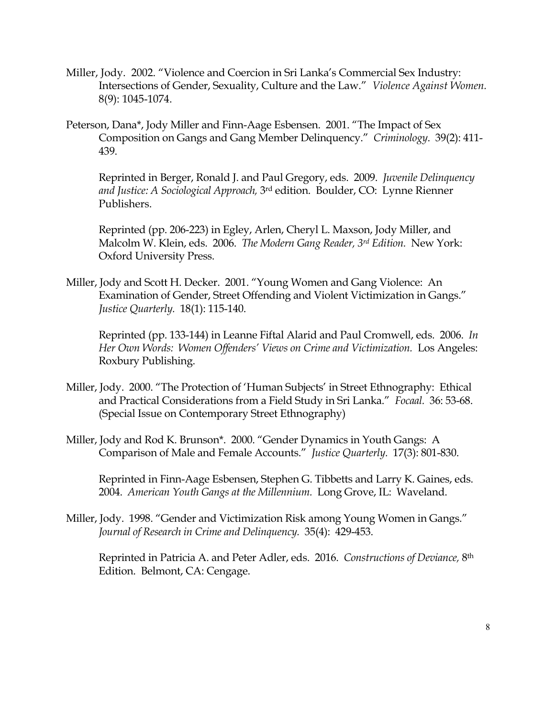- Miller, Jody. 2002. "Violence and Coercion in Sri Lanka's Commercial Sex Industry: Intersections of Gender, Sexuality, Culture and the Law." *Violence Against Women.* 8(9): 1045-1074.
- Peterson, Dana\*, Jody Miller and Finn-Aage Esbensen. 2001. "The Impact of Sex Composition on Gangs and Gang Member Delinquency." *Criminology*. 39(2): 411- 439.

Reprinted in Berger, Ronald J. and Paul Gregory, eds. 2009. *Juvenile Delinquency and Justice: A Sociological Approach,* 3rd edition. Boulder, CO: Lynne Rienner Publishers.

Reprinted (pp. 206-223) in Egley, Arlen, Cheryl L. Maxson, Jody Miller, and Malcolm W. Klein, eds. 2006. *The Modern Gang Reader, 3rd Edition.* New York: Oxford University Press.

Miller, Jody and Scott H. Decker. 2001. "Young Women and Gang Violence: An Examination of Gender, Street Offending and Violent Victimization in Gangs." *Justice Quarterly.* 18(1): 115-140.

Reprinted (pp. 133-144) in Leanne Fiftal Alarid and Paul Cromwell, eds. 2006. *In Her Own Words: Women Offenders' Views on Crime and Victimization.* Los Angeles: Roxbury Publishing.

- Miller, Jody. 2000. "The Protection of 'Human Subjects' in Street Ethnography: Ethical and Practical Considerations from a Field Study in Sri Lanka." *Focaal.* 36: 53-68. (Special Issue on Contemporary Street Ethnography)
- Miller, Jody and Rod K. Brunson\*. 2000. "Gender Dynamics in Youth Gangs: A Comparison of Male and Female Accounts." *Justice Quarterly.* 17(3): 801-830.

Reprinted in Finn-Aage Esbensen, Stephen G. Tibbetts and Larry K. Gaines, eds. 2004. *American Youth Gangs at the Millennium.* Long Grove, IL: Waveland.

Miller, Jody. 1998. "Gender and Victimization Risk among Young Women in Gangs." *Journal of Research in Crime and Delinquency.* 35(4): 429-453.

Reprinted in Patricia A. and Peter Adler, eds. 2016. *Constructions of Deviance,* 8th Edition. Belmont, CA: Cengage.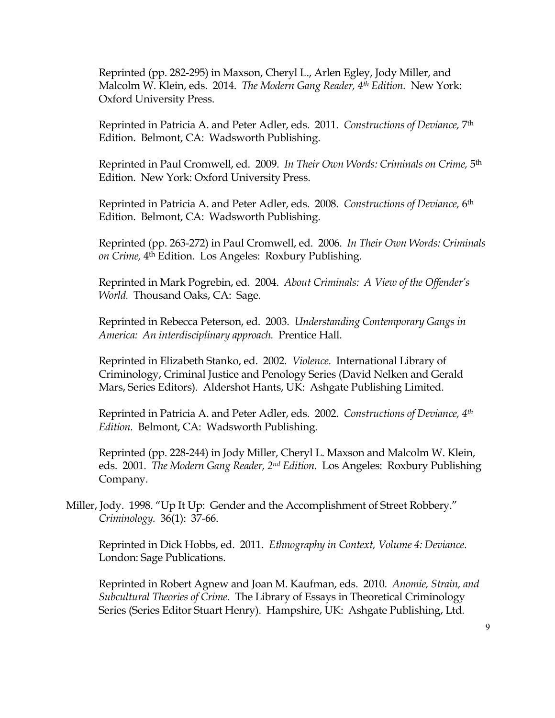Reprinted (pp. 282-295) in Maxson, Cheryl L., Arlen Egley, Jody Miller, and Malcolm W. Klein, eds. 2014. *The Modern Gang Reader, 4th Edition.* New York: Oxford University Press.

Reprinted in Patricia A. and Peter Adler, eds. 2011. *Constructions of Deviance,* 7th Edition. Belmont, CA: Wadsworth Publishing.

Reprinted in Paul Cromwell, ed. 2009. *In Their Own Words: Criminals on Crime,* 5th Edition. New York: Oxford University Press.

Reprinted in Patricia A. and Peter Adler, eds. 2008. *Constructions of Deviance,* 6th Edition. Belmont, CA: Wadsworth Publishing.

Reprinted (pp. 263-272) in Paul Cromwell, ed. 2006. *In Their Own Words: Criminals on Crime,* 4th Edition. Los Angeles: Roxbury Publishing.

Reprinted in Mark Pogrebin, ed. 2004. *About Criminals: A View of the Offender's World.* Thousand Oaks, CA: Sage.

Reprinted in Rebecca Peterson, ed. 2003. *Understanding Contemporary Gangs in America: An interdisciplinary approach.* Prentice Hall.

Reprinted in Elizabeth Stanko, ed. 2002. *Violence.* International Library of Criminology, Criminal Justice and Penology Series (David Nelken and Gerald Mars, Series Editors). Aldershot Hants, UK: Ashgate Publishing Limited.

Reprinted in Patricia A. and Peter Adler, eds. 2002. *Constructions of Deviance, 4th Edition.* Belmont, CA: Wadsworth Publishing.

Reprinted (pp. 228-244) in Jody Miller, Cheryl L. Maxson and Malcolm W. Klein, eds. 2001. *The Modern Gang Reader, 2nd Edition.* Los Angeles: Roxbury Publishing Company.

Miller, Jody. 1998. "Up It Up: Gender and the Accomplishment of Street Robbery." *Criminology.* 36(1): 37-66.

Reprinted in Dick Hobbs, ed. 2011. *Ethnography in Context, Volume 4: Deviance.* London: Sage Publications.

Reprinted in Robert Agnew and Joan M. Kaufman, eds. 2010. *Anomie, Strain, and Subcultural Theories of Crime.* The Library of Essays in Theoretical Criminology Series (Series Editor Stuart Henry). Hampshire, UK: Ashgate Publishing, Ltd.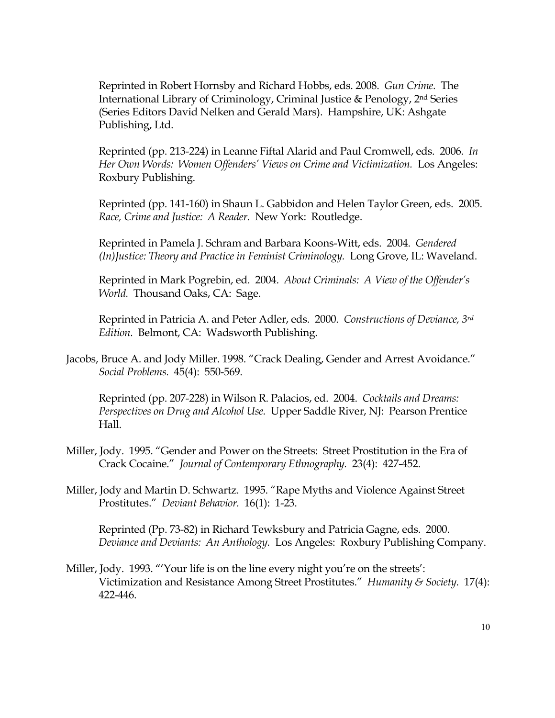Reprinted in Robert Hornsby and Richard Hobbs, eds. 2008. *Gun Crime.* The International Library of Criminology, Criminal Justice & Penology, 2nd Series (Series Editors David Nelken and Gerald Mars). Hampshire, UK: Ashgate Publishing, Ltd.

Reprinted (pp. 213-224) in Leanne Fiftal Alarid and Paul Cromwell, eds. 2006. *In Her Own Words: Women Offenders' Views on Crime and Victimization.* Los Angeles: Roxbury Publishing.

Reprinted (pp. 141-160) in Shaun L. Gabbidon and Helen Taylor Green, eds. 2005. *Race, Crime and Justice: A Reader.* New York: Routledge.

Reprinted in Pamela J. Schram and Barbara Koons-Witt, eds. 2004. *Gendered (In)Justice: Theory and Practice in Feminist Criminology.* Long Grove, IL: Waveland.

Reprinted in Mark Pogrebin, ed. 2004. *About Criminals: A View of the Offender's World.* Thousand Oaks, CA: Sage.

Reprinted in Patricia A. and Peter Adler, eds. 2000. *Constructions of Deviance, 3rd Edition.* Belmont, CA: Wadsworth Publishing.

Jacobs, Bruce A. and Jody Miller. 1998. "Crack Dealing, Gender and Arrest Avoidance." *Social Problems.* 45(4): 550-569.

Reprinted (pp. 207-228) in Wilson R. Palacios, ed. 2004. *Cocktails and Dreams: Perspectives on Drug and Alcohol Use.* Upper Saddle River, NJ: Pearson Prentice Hall.

- Miller, Jody. 1995. "Gender and Power on the Streets: Street Prostitution in the Era of Crack Cocaine." *Journal of Contemporary Ethnography.* 23(4): 427-452.
- Miller, Jody and Martin D. Schwartz. 1995. "Rape Myths and Violence Against Street Prostitutes." *Deviant Behavior.* 16(1): 1-23.

Reprinted (Pp. 73-82) in Richard Tewksbury and Patricia Gagne, eds. 2000. *Deviance and Deviants: An Anthology.* Los Angeles: Roxbury Publishing Company.

Miller, Jody. 1993. "'Your life is on the line every night you're on the streets': Victimization and Resistance Among Street Prostitutes." *Humanity & Society.* 17(4): 422-446.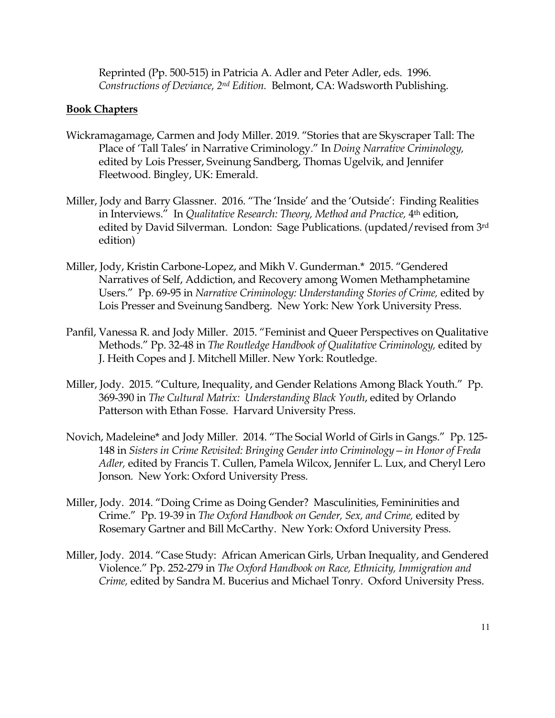Reprinted (Pp. 500-515) in Patricia A. Adler and Peter Adler, eds. 1996. *Constructions of Deviance, 2nd Edition.* Belmont, CA: Wadsworth Publishing.

#### **Book Chapters**

- Wickramagamage, Carmen and Jody Miller. 2019. "Stories that are Skyscraper Tall: The Place of 'Tall Tales' in Narrative Criminology." In *Doing Narrative Criminology,* edited by Lois Presser, Sveinung Sandberg, Thomas Ugelvik, and Jennifer Fleetwood. Bingley, UK: Emerald.
- Miller, Jody and Barry Glassner. 2016. "The 'Inside' and the 'Outside': Finding Realities in Interviews." In *Qualitative Research: Theory, Method and Practice*, 4<sup>th</sup> edition, edited by David Silverman. London: Sage Publications. (updated/revised from 3rd edition)
- Miller, Jody, Kristin Carbone-Lopez, and Mikh V. Gunderman.\* 2015. "Gendered Narratives of Self, Addiction, and Recovery among Women Methamphetamine Users." Pp. 69-95 in *Narrative Criminology: Understanding Stories of Crime,* edited by Lois Presser and Sveinung Sandberg. New York: New York University Press.
- Panfil, Vanessa R. and Jody Miller. 2015. "Feminist and Queer Perspectives on Qualitative Methods." Pp. 32-48 in *The Routledge Handbook of Qualitative Criminology,* edited by J. Heith Copes and J. Mitchell Miller. New York: Routledge.
- Miller, Jody. 2015. "Culture, Inequality, and Gender Relations Among Black Youth." Pp. 369-390 in *The Cultural Matrix: Understanding Black Youth*, edited by Orlando Patterson with Ethan Fosse. Harvard University Press.
- Novich, Madeleine\* and Jody Miller. 2014. "The Social World of Girls in Gangs." Pp. 125- 148 in *Sisters in Crime Revisited: Bringing Gender into Criminology—in Honor of Freda Adler,* edited by Francis T. Cullen, Pamela Wilcox, Jennifer L. Lux, and Cheryl Lero Jonson*.* New York: Oxford University Press.
- Miller, Jody. 2014. "Doing Crime as Doing Gender? Masculinities, Femininities and Crime." Pp. 19-39 in *The Oxford Handbook on Gender, Sex, and Crime,* edited by Rosemary Gartner and Bill McCarthy. New York: Oxford University Press.
- Miller, Jody. 2014. "Case Study: African American Girls, Urban Inequality, and Gendered Violence." Pp. 252-279 in *The Oxford Handbook on Race, Ethnicity, Immigration and Crime,* edited by Sandra M. Bucerius and Michael Tonry. Oxford University Press.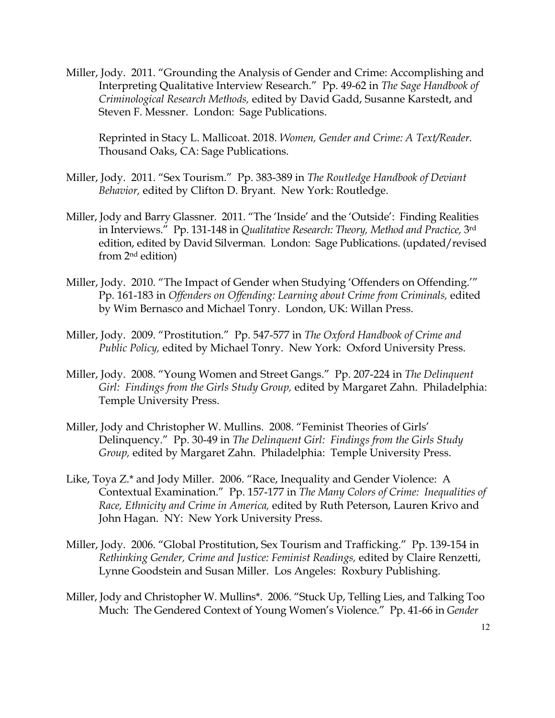Miller, Jody. 2011. "Grounding the Analysis of Gender and Crime: Accomplishing and Interpreting Qualitative Interview Research." Pp. 49-62 in *The Sage Handbook of Criminological Research Methods,* edited by David Gadd, Susanne Karstedt, and Steven F. Messner. London: Sage Publications.

Reprinted in Stacy L. Mallicoat. 2018. *Women, Gender and Crime: A Text/Reader.* Thousand Oaks, CA: Sage Publications.

- Miller, Jody. 2011. "Sex Tourism." Pp. 383-389 in *The Routledge Handbook of Deviant Behavior,* edited by Clifton D. Bryant. New York: Routledge.
- Miller, Jody and Barry Glassner. 2011. "The 'Inside' and the 'Outside': Finding Realities in Interviews." Pp. 131-148 in *Qualitative Research: Theory, Method and Practice,* 3rd edition, edited by David Silverman. London: Sage Publications. (updated/revised from 2nd edition)
- Miller, Jody. 2010. "The Impact of Gender when Studying 'Offenders on Offending.'" Pp. 161-183 in *Offenders on Offending: Learning about Crime from Criminals,* edited by Wim Bernasco and Michael Tonry. London, UK: Willan Press.
- Miller, Jody. 2009. "Prostitution." Pp. 547-577 in *The Oxford Handbook of Crime and Public Policy,* edited by Michael Tonry. New York: Oxford University Press.
- Miller, Jody. 2008. "Young Women and Street Gangs." Pp. 207-224 in *The Delinquent Girl: Findings from the Girls Study Group,* edited by Margaret Zahn. Philadelphia: Temple University Press.
- Miller, Jody and Christopher W. Mullins. 2008. "Feminist Theories of Girls' Delinquency." Pp. 30-49 in *The Delinquent Girl: Findings from the Girls Study Group,* edited by Margaret Zahn. Philadelphia: Temple University Press.
- Like, Toya Z.\* and Jody Miller. 2006. "Race, Inequality and Gender Violence: A Contextual Examination." Pp. 157-177 in *The Many Colors of Crime: Inequalities of Race, Ethnicity and Crime in America,* edited by Ruth Peterson, Lauren Krivo and John Hagan. NY: New York University Press.
- Miller, Jody. 2006. "Global Prostitution, Sex Tourism and Trafficking." Pp. 139-154 in *Rethinking Gender, Crime and Justice: Feminist Readings,* edited by Claire Renzetti, Lynne Goodstein and Susan Miller. Los Angeles: Roxbury Publishing.
- Miller, Jody and Christopher W. Mullins\*. 2006. "Stuck Up, Telling Lies, and Talking Too Much: The Gendered Context of Young Women's Violence." Pp. 41-66 in *Gender*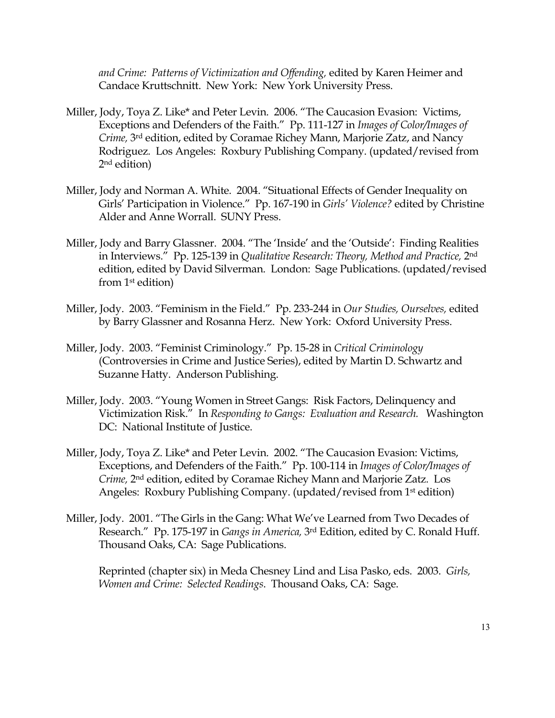*and Crime: Patterns of Victimization and Offending,* edited by Karen Heimer and Candace Kruttschnitt. New York: New York University Press.

- Miller, Jody, Toya Z. Like\* and Peter Levin. 2006. "The Caucasion Evasion: Victims, Exceptions and Defenders of the Faith." Pp. 111-127 in *Images of Color/Images of Crime,* 3rd edition, edited by Coramae Richey Mann, Marjorie Zatz, and Nancy Rodriguez*.* Los Angeles: Roxbury Publishing Company. (updated/revised from 2nd edition)
- Miller, Jody and Norman A. White. 2004. "Situational Effects of Gender Inequality on Girls' Participation in Violence." Pp. 167-190 in *Girls' Violence?* edited by Christine Alder and Anne Worrall. SUNY Press.
- Miller, Jody and Barry Glassner. 2004. "The 'Inside' and the 'Outside': Finding Realities in Interviews." Pp. 125-139 in *Qualitative Research: Theory, Method and Practice,* 2nd edition, edited by David Silverman. London: Sage Publications. (updated/revised from 1st edition)
- Miller, Jody. 2003. "Feminism in the Field." Pp. 233-244 in *Our Studies, Ourselves,* edited by Barry Glassner and Rosanna Herz. New York: Oxford University Press.
- Miller, Jody. 2003. "Feminist Criminology." Pp. 15-28 in *Critical Criminology* (Controversies in Crime and Justice Series), edited by Martin D. Schwartz and Suzanne Hatty. Anderson Publishing.
- Miller, Jody. 2003. "Young Women in Street Gangs: Risk Factors, Delinquency and Victimization Risk." In *Responding to Gangs: Evaluation and Research.* Washington DC: National Institute of Justice.
- Miller, Jody, Toya Z. Like\* and Peter Levin. 2002. "The Caucasion Evasion: Victims, Exceptions, and Defenders of the Faith." Pp. 100-114 in *Images of Color/Images of Crime,* 2nd edition, edited by Coramae Richey Mann and Marjorie Zatz*.* Los Angeles: Roxbury Publishing Company. (updated/revised from 1<sup>st</sup> edition)
- Miller, Jody. 2001. "The Girls in the Gang: What We've Learned from Two Decades of Research." Pp. 175-197 in *Gangs in America,* 3rd Edition, edited by C. Ronald Huff. Thousand Oaks, CA: Sage Publications.

Reprinted (chapter six) in Meda Chesney Lind and Lisa Pasko, eds. 2003. *Girls, Women and Crime: Selected Readings*. Thousand Oaks, CA: Sage.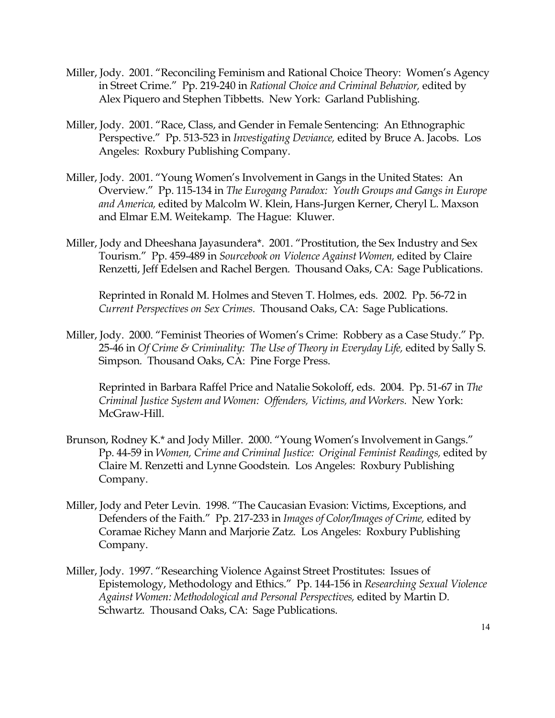- Miller, Jody. 2001. "Reconciling Feminism and Rational Choice Theory: Women's Agency in Street Crime." Pp. 219-240 in *Rational Choice and Criminal Behavior,* edited by Alex Piquero and Stephen Tibbetts. New York: Garland Publishing.
- Miller, Jody. 2001. "Race, Class, and Gender in Female Sentencing: An Ethnographic Perspective." Pp. 513-523 in *Investigating Deviance,* edited by Bruce A. Jacobs. Los Angeles: Roxbury Publishing Company.
- Miller, Jody. 2001. "Young Women's Involvement in Gangs in the United States: An Overview." Pp. 115-134 in *The Eurogang Paradox: Youth Groups and Gangs in Europe and America,* edited by Malcolm W. Klein, Hans-Jurgen Kerner, Cheryl L. Maxson and Elmar E.M. Weitekamp*.* The Hague: Kluwer.
- Miller, Jody and Dheeshana Jayasundera\*. 2001. "Prostitution, the Sex Industry and Sex Tourism." Pp. 459-489 in *Sourcebook on Violence Against Women,* edited by Claire Renzetti, Jeff Edelsen and Rachel Bergen*.* Thousand Oaks, CA: Sage Publications.

Reprinted in Ronald M. Holmes and Steven T. Holmes, eds. 2002. Pp. 56-72 in *Current Perspectives on Sex Crimes.* Thousand Oaks, CA: Sage Publications.

Miller, Jody. 2000. "Feminist Theories of Women's Crime: Robbery as a Case Study." Pp. 25-46 in *Of Crime & Criminality: The Use of Theory in Everyday Life,* edited by Sally S. Simpson*.* Thousand Oaks, CA: Pine Forge Press.

Reprinted in Barbara Raffel Price and Natalie Sokoloff, eds. 2004. Pp. 51-67 in *The Criminal Justice System and Women: Offenders, Victims, and Workers.* New York: McGraw-Hill.

- Brunson, Rodney K.\* and Jody Miller. 2000. "Young Women's Involvement in Gangs." Pp. 44-59 in *Women, Crime and Criminal Justice: Original Feminist Readings,* edited by Claire M. Renzetti and Lynne Goodstein*.* Los Angeles: Roxbury Publishing Company.
- Miller, Jody and Peter Levin. 1998. "The Caucasian Evasion: Victims, Exceptions, and Defenders of the Faith." Pp. 217-233 in *Images of Color/Images of Crime,* edited by Coramae Richey Mann and Marjorie Zatz*.* Los Angeles: Roxbury Publishing Company.
- Miller, Jody. 1997. "Researching Violence Against Street Prostitutes: Issues of Epistemology, Methodology and Ethics." Pp. 144-156 in *Researching Sexual Violence Against Women: Methodological and Personal Perspectives,* edited by Martin D. Schwartz*.* Thousand Oaks, CA: Sage Publications.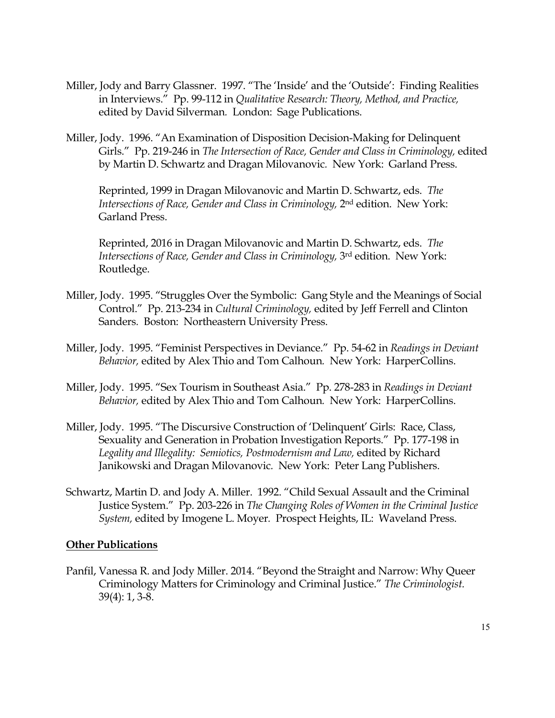- Miller, Jody and Barry Glassner. 1997. "The 'Inside' and the 'Outside': Finding Realities in Interviews." Pp. 99-112 in *Qualitative Research: Theory, Method, and Practice,* edited by David Silverman*.* London: Sage Publications.
- Miller, Jody. 1996. "An Examination of Disposition Decision-Making for Delinquent Girls." Pp. 219-246 in *The Intersection of Race, Gender and Class in Criminology,* edited by Martin D. Schwartz and Dragan Milovanovic*.* New York: Garland Press.

Reprinted, 1999 in Dragan Milovanovic and Martin D. Schwartz, eds. *The Intersections of Race, Gender and Class in Criminology, 2nd edition. New York:* Garland Press.

Reprinted, 2016 in Dragan Milovanovic and Martin D. Schwartz, eds. *The Intersections of Race, Gender and Class in Criminology, 3rd edition. New York:* Routledge.

- Miller, Jody. 1995. "Struggles Over the Symbolic: Gang Style and the Meanings of Social Control." Pp. 213-234 in *Cultural Criminology,* edited by Jeff Ferrell and Clinton Sanders*.* Boston: Northeastern University Press.
- Miller, Jody. 1995. "Feminist Perspectives in Deviance." Pp. 54-62 in *Readings in Deviant Behavior,* edited by Alex Thio and Tom Calhoun*.* New York: HarperCollins.
- Miller, Jody. 1995. "Sex Tourism in Southeast Asia." Pp. 278-283 in *Readings in Deviant Behavior,* edited by Alex Thio and Tom Calhoun*.* New York: HarperCollins.
- Miller, Jody. 1995. "The Discursive Construction of 'Delinquent' Girls: Race, Class, Sexuality and Generation in Probation Investigation Reports." Pp. 177-198 in *Legality and Illegality: Semiotics, Postmodernism and Law,* edited by Richard Janikowski and Dragan Milovanovic*.* New York: Peter Lang Publishers.
- Schwartz, Martin D. and Jody A. Miller. 1992. "Child Sexual Assault and the Criminal Justice System." Pp. 203-226 in *The Changing Roles of Women in the Criminal Justice System,* edited by Imogene L. Moyer*.* Prospect Heights, IL: Waveland Press.

#### **Other Publications**

Panfil, Vanessa R. and Jody Miller. 2014. "Beyond the Straight and Narrow: Why Queer Criminology Matters for Criminology and Criminal Justice." *The Criminologist.* 39(4): 1, 3-8.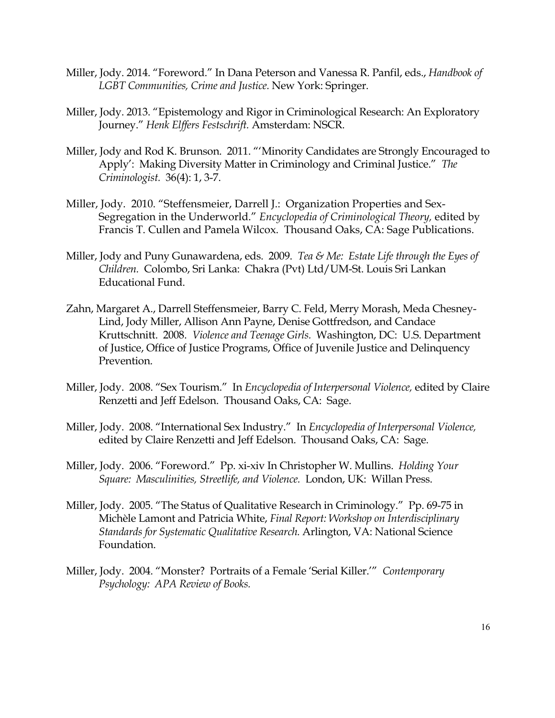- Miller, Jody. 2014. "Foreword." In Dana Peterson and Vanessa R. Panfil, eds., *Handbook of LGBT Communities, Crime and Justice.* New York: Springer.
- Miller, Jody. 2013. "Epistemology and Rigor in Criminological Research: An Exploratory Journey." *Henk Elffers Festschrift.* Amsterdam: NSCR.
- Miller, Jody and Rod K. Brunson. 2011. "'Minority Candidates are Strongly Encouraged to Apply': Making Diversity Matter in Criminology and Criminal Justice." *The Criminologist.* 36(4): 1, 3-7.
- Miller, Jody. 2010. "Steffensmeier, Darrell J.: Organization Properties and Sex-Segregation in the Underworld." *Encyclopedia of Criminological Theory,* edited by Francis T. Cullen and Pamela Wilcox. Thousand Oaks, CA: Sage Publications.
- Miller, Jody and Puny Gunawardena, eds. 2009. *Tea & Me: Estate Life through the Eyes of Children.* Colombo, Sri Lanka: Chakra (Pvt) Ltd/UM-St. Louis Sri Lankan Educational Fund.
- Zahn, Margaret A., Darrell Steffensmeier, Barry C. Feld, Merry Morash, Meda Chesney-Lind, Jody Miller, Allison Ann Payne, Denise Gottfredson, and Candace Kruttschnitt. 2008. *Violence and Teenage Girls.* Washington, DC: U.S. Department of Justice, Office of Justice Programs, Office of Juvenile Justice and Delinquency Prevention.
- Miller, Jody. 2008. "Sex Tourism." In *Encyclopedia of Interpersonal Violence,* edited by Claire Renzetti and Jeff Edelson. Thousand Oaks, CA: Sage.
- Miller, Jody. 2008. "International Sex Industry." In *Encyclopedia of Interpersonal Violence,* edited by Claire Renzetti and Jeff Edelson. Thousand Oaks, CA: Sage.
- Miller, Jody. 2006. "Foreword." Pp. xi-xiv In Christopher W. Mullins. *Holding Your Square: Masculinities, Streetlife, and Violence.* London, UK: Willan Press.
- Miller, Jody. 2005. "The Status of Qualitative Research in Criminology." Pp. 69-75 in Michèle Lamont and Patricia White, *Final Report: Workshop on Interdisciplinary Standards for Systematic Qualitative Research.* Arlington, VA: National Science Foundation.
- Miller, Jody. 2004. "Monster? Portraits of a Female 'Serial Killer.'" *Contemporary Psychology: APA Review of Books.*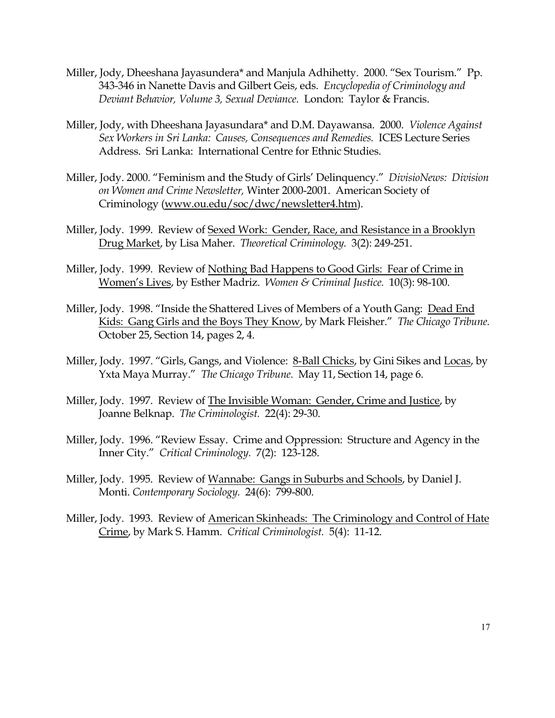- Miller, Jody, Dheeshana Jayasundera\* and Manjula Adhihetty. 2000. "Sex Tourism." Pp. 343-346 in Nanette Davis and Gilbert Geis, eds. *Encyclopedia of Criminology and Deviant Behavior, Volume 3, Sexual Deviance.* London: Taylor & Francis.
- Miller, Jody, with Dheeshana Jayasundara\* and D.M. Dayawansa. 2000. *Violence Against Sex Workers in Sri Lanka: Causes, Consequences and Remedies.* ICES Lecture Series Address. Sri Lanka: International Centre for Ethnic Studies.
- Miller, Jody. 2000. "Feminism and the Study of Girls' Delinquency." *DivisioNews: Division on Women and Crime Newsletter,* Winter 2000-2001. American Society of Criminology (www.ou.edu/soc/dwc/newsletter4.htm).
- Miller, Jody. 1999. Review of Sexed Work: Gender, Race, and Resistance in a Brooklyn Drug Market, by Lisa Maher. *Theoretical Criminology.* 3(2): 249-251.
- Miller, Jody. 1999. Review of Nothing Bad Happens to Good Girls: Fear of Crime in Women's Lives, by Esther Madriz. *Women & Criminal Justice.* 10(3): 98-100.
- Miller, Jody. 1998. "Inside the Shattered Lives of Members of a Youth Gang: Dead End Kids: Gang Girls and the Boys They Know, by Mark Fleisher." *The Chicago Tribune.* October 25, Section 14, pages 2, 4.
- Miller, Jody. 1997. "Girls, Gangs, and Violence: 8-Ball Chicks, by Gini Sikes and Locas, by Yxta Maya Murray." *The Chicago Tribune.* May 11, Section 14, page 6.
- Miller, Jody. 1997. Review of The Invisible Woman: Gender, Crime and Justice, by Joanne Belknap. *The Criminologist.* 22(4): 29-30.
- Miller, Jody. 1996. "Review Essay. Crime and Oppression: Structure and Agency in the Inner City." *Critical Criminology.* 7(2): 123-128.
- Miller, Jody. 1995. Review of Wannabe: Gangs in Suburbs and Schools, by Daniel J. Monti. *Contemporary Sociology.* 24(6): 799-800.
- Miller, Jody. 1993. Review of American Skinheads: The Criminology and Control of Hate Crime, by Mark S. Hamm. *Critical Criminologist.* 5(4): 11-12.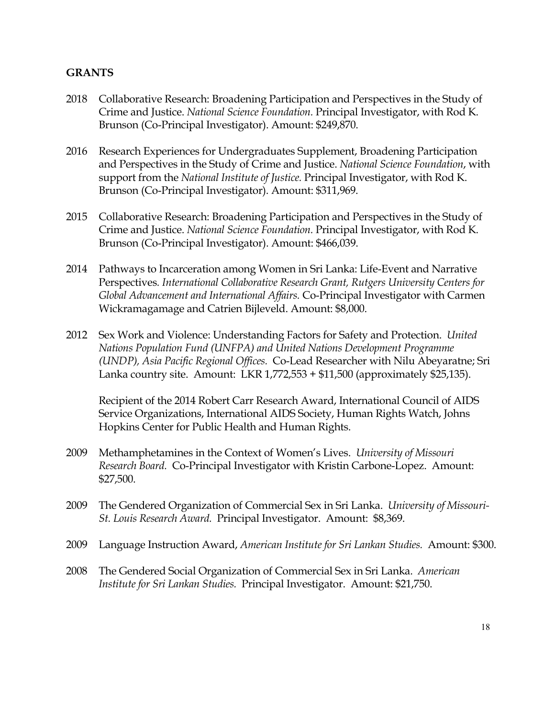# **GRANTS**

- 2018 Collaborative Research: Broadening Participation and Perspectives in the Study of Crime and Justice. *National Science Foundation.* Principal Investigator, with Rod K. Brunson (Co-Principal Investigator). Amount: \$249,870.
- 2016 Research Experiences for Undergraduates Supplement, Broadening Participation and Perspectives in the Study of Crime and Justice. *National Science Foundation*, with support from the *National Institute of Justice.* Principal Investigator, with Rod K. Brunson (Co-Principal Investigator). Amount: \$311,969.
- 2015 Collaborative Research: Broadening Participation and Perspectives in the Study of Crime and Justice. *National Science Foundation.* Principal Investigator, with Rod K. Brunson (Co-Principal Investigator). Amount: \$466,039.
- 2014 Pathways to Incarceration among Women in Sri Lanka: Life-Event and Narrative Perspectives*. International Collaborative Research Grant, Rutgers University Centers for Global Advancement and International Affairs.* Co-Principal Investigator with Carmen Wickramagamage and Catrien Bijleveld. Amount: \$8,000.
- 2012 Sex Work and Violence: Understanding Factors for Safety and Protection. *United Nations Population Fund (UNFPA) and United Nations Development Programme (UNDP), Asia Pacific Regional Offices.* Co-Lead Researcher with Nilu Abeyaratne; Sri Lanka country site. Amount: LKR 1,772,553 + \$11,500 (approximately \$25,135).

Recipient of the 2014 Robert Carr Research Award, International Council of AIDS Service Organizations, International AIDS Society, Human Rights Watch, Johns Hopkins Center for Public Health and Human Rights.

- 2009 Methamphetamines in the Context of Women's Lives. *University of Missouri Research Board.* Co-Principal Investigator with Kristin Carbone-Lopez. Amount: \$27,500.
- 2009 The Gendered Organization of Commercial Sex in Sri Lanka. *University of Missouri-St. Louis Research Award.* Principal Investigator. Amount: \$8,369.
- 2009 Language Instruction Award, *American Institute for Sri Lankan Studies.* Amount: \$300.
- 2008 The Gendered Social Organization of Commercial Sex in Sri Lanka. *American Institute for Sri Lankan Studies.* Principal Investigator. Amount: \$21,750.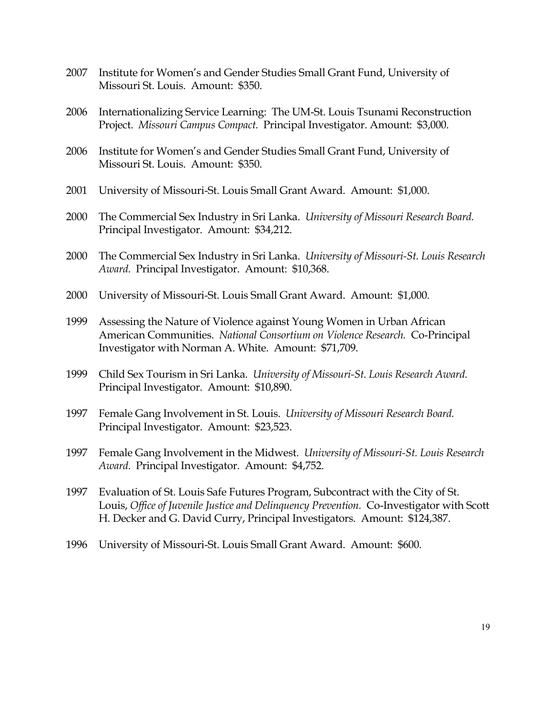- 2007 Institute for Women's and Gender Studies Small Grant Fund, University of Missouri St. Louis. Amount: \$350.
- 2006 Internationalizing Service Learning: The UM-St. Louis Tsunami Reconstruction Project. *Missouri Campus Compact.* Principal Investigator. Amount: \$3,000.
- 2006 Institute for Women's and Gender Studies Small Grant Fund, University of Missouri St. Louis. Amount: \$350.
- 2001 University of Missouri-St. Louis Small Grant Award. Amount: \$1,000.
- 2000 The Commercial Sex Industry in Sri Lanka. *University of Missouri Research Board.* Principal Investigator. Amount: \$34,212.
- 2000 The Commercial Sex Industry in Sri Lanka. *University of Missouri-St. Louis Research Award.* Principal Investigator. Amount: \$10,368.
- 2000 University of Missouri-St. Louis Small Grant Award. Amount: \$1,000.
- 1999 Assessing the Nature of Violence against Young Women in Urban African American Communities. *National Consortium on Violence Research.* Co-Principal Investigator with Norman A. White. Amount: \$71,709.
- 1999 Child Sex Tourism in Sri Lanka. *University of Missouri-St. Louis Research Award.* Principal Investigator. Amount: \$10,890.
- 1997 Female Gang Involvement in St. Louis. *University of Missouri Research Board.* Principal Investigator. Amount: \$23,523.
- 1997 Female Gang Involvement in the Midwest. *University of Missouri-St. Louis Research Award.* Principal Investigator. Amount: \$4,752.
- 1997 Evaluation of St. Louis Safe Futures Program, Subcontract with the City of St. Louis, *Office of Juvenile Justice and Delinquency Prevention.* Co-Investigator with Scott H. Decker and G. David Curry, Principal Investigators. Amount: \$124,387.
- 1996 University of Missouri-St. Louis Small Grant Award. Amount: \$600.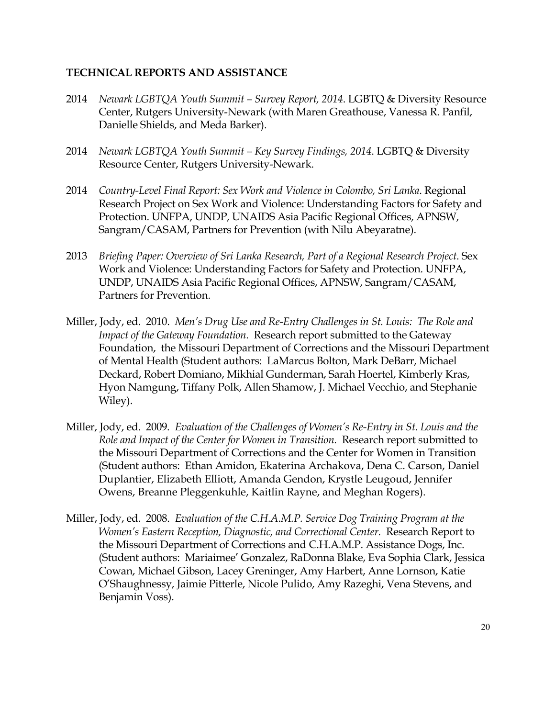# **TECHNICAL REPORTS AND ASSISTANCE**

- 2014 *Newark LGBTQA Youth Summit – Survey Report, 2014*. LGBTQ & Diversity Resource Center, Rutgers University-Newark (with Maren Greathouse, Vanessa R. Panfil, Danielle Shields, and Meda Barker).
- 2014 *Newark LGBTQA Youth Summit – Key Survey Findings, 2014*. LGBTQ & Diversity Resource Center, Rutgers University-Newark.
- 2014 *Country-Level Final Report: Sex Work and Violence in Colombo, Sri Lanka*. Regional Research Project on Sex Work and Violence: Understanding Factors for Safety and Protection. UNFPA, UNDP, UNAIDS Asia Pacific Regional Offices, APNSW, Sangram/CASAM, Partners for Prevention (with Nilu Abeyaratne).
- 2013 *Briefing Paper: Overview of Sri Lanka Research, Part of a Regional Research Project*. Sex Work and Violence: Understanding Factors for Safety and Protection. UNFPA, UNDP, UNAIDS Asia Pacific Regional Offices, APNSW, Sangram/CASAM, Partners for Prevention.
- Miller, Jody, ed. 2010. *Men's Drug Use and Re-Entry Challenges in St. Louis: The Role and Impact of the Gateway Foundation.* Research report submitted to the Gateway Foundation, the Missouri Department of Corrections and the Missouri Department of Mental Health (Student authors: LaMarcus Bolton, Mark DeBarr, Michael Deckard, Robert Domiano, Mikhial Gunderman, Sarah Hoertel, Kimberly Kras, Hyon Namgung, Tiffany Polk, Allen Shamow, J. Michael Vecchio, and Stephanie Wiley).
- Miller, Jody, ed. 2009. *Evaluation of the Challenges of Women's Re-Entry in St. Louis and the Role and Impact of the Center for Women in Transition.* Research report submitted to the Missouri Department of Corrections and the Center for Women in Transition (Student authors: Ethan Amidon, Ekaterina Archakova, Dena C. Carson, Daniel Duplantier, Elizabeth Elliott, Amanda Gendon, Krystle Leugoud, Jennifer Owens, Breanne Pleggenkuhle, Kaitlin Rayne, and Meghan Rogers).
- Miller, Jody, ed. 2008. *Evaluation of the C.H.A.M.P. Service Dog Training Program at the Women's Eastern Reception, Diagnostic, and Correctional Center.* Research Report to the Missouri Department of Corrections and C.H.A.M.P. Assistance Dogs, Inc. (Student authors: Mariaimee' Gonzalez, RaDonna Blake, Eva Sophia Clark, Jessica Cowan, Michael Gibson, Lacey Greninger, Amy Harbert, Anne Lornson, Katie O'Shaughnessy, Jaimie Pitterle, Nicole Pulido, Amy Razeghi, Vena Stevens, and Benjamin Voss).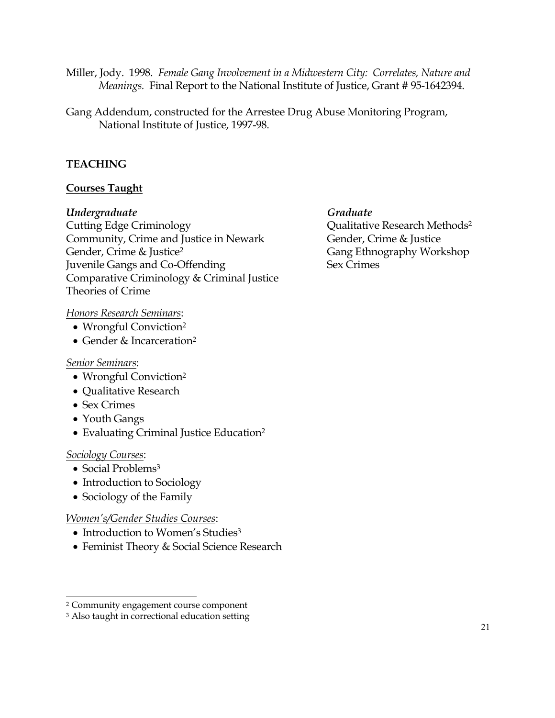- Miller, Jody. 1998. *Female Gang Involvement in a Midwestern City: Correlates, Nature and Meanings.* Final Report to the National Institute of Justice, Grant # 95-1642394.
- Gang Addendum, constructed for the Arrestee Drug Abuse Monitoring Program, National Institute of Justice, 1997-98.

# **TEACHING**

# **Courses Taught**

#### *Undergraduate Graduate*

Cutting Edge Criminology Qualitative Research Methods2 Community, Crime and Justice in Newark Gender, Crime & Justice Gender, Crime & Justice<sup>2</sup> Gang Ethnography Workshop Juvenile Gangs and Co-Offending Sex Crimes Comparative Criminology & Criminal Justice Theories of Crime

*Honors Research Seminars*:

- Wrongful Conviction<sup>2</sup>
- Gender & Incarceration<sup>2</sup>

#### *Senior Seminars*:

- Wrongful Conviction<sup>2</sup>
- Qualitative Research
- Sex Crimes
- Youth Gangs
- Evaluating Criminal Justice Education<sup>2</sup>

#### *Sociology Courses*:

- Social Problems<sup>3</sup>
- Introduction to Sociology
- Sociology of the Family

#### *Women's/Gender Studies Courses*:

- Introduction to Women's Studies<sup>3</sup>
- Feminist Theory & Social Science Research

<sup>2</sup> Community engagement course component

<sup>&</sup>lt;sup>3</sup> Also taught in correctional education setting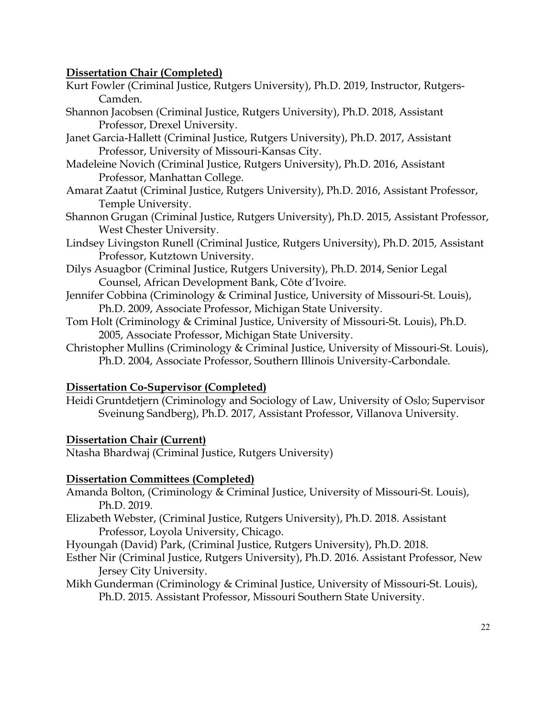# **Dissertation Chair (Completed)**

- Kurt Fowler (Criminal Justice, Rutgers University), Ph.D. 2019, Instructor, Rutgers-Camden.
- Shannon Jacobsen (Criminal Justice, Rutgers University), Ph.D. 2018, Assistant Professor, Drexel University.
- Janet Garcia-Hallett (Criminal Justice, Rutgers University), Ph.D. 2017, Assistant Professor, University of Missouri-Kansas City.
- Madeleine Novich (Criminal Justice, Rutgers University), Ph.D. 2016, Assistant Professor, Manhattan College.
- Amarat Zaatut (Criminal Justice, Rutgers University), Ph.D. 2016, Assistant Professor, Temple University.
- Shannon Grugan (Criminal Justice, Rutgers University), Ph.D. 2015, Assistant Professor, West Chester University.
- Lindsey Livingston Runell (Criminal Justice, Rutgers University), Ph.D. 2015, Assistant Professor, Kutztown University.
- Dilys Asuagbor (Criminal Justice, Rutgers University), Ph.D. 2014, Senior Legal Counsel, African Development Bank, Côte d'Ivoire.
- Jennifer Cobbina (Criminology & Criminal Justice, University of Missouri-St. Louis), Ph.D. 2009, Associate Professor, Michigan State University.
- Tom Holt (Criminology & Criminal Justice, University of Missouri-St. Louis), Ph.D. 2005, Associate Professor, Michigan State University.
- Christopher Mullins (Criminology & Criminal Justice, University of Missouri-St. Louis), Ph.D. 2004, Associate Professor, Southern Illinois University-Carbondale.

# **Dissertation Co-Supervisor (Completed)**

Heidi Gruntdetjern (Criminology and Sociology of Law, University of Oslo; Supervisor Sveinung Sandberg), Ph.D. 2017, Assistant Professor, Villanova University.

# **Dissertation Chair (Current)**

Ntasha Bhardwaj (Criminal Justice, Rutgers University)

# **Dissertation Committees (Completed)**

- Amanda Bolton, (Criminology & Criminal Justice, University of Missouri-St. Louis), Ph.D. 2019.
- Elizabeth Webster, (Criminal Justice, Rutgers University), Ph.D. 2018. Assistant Professor, Loyola University, Chicago.
- Hyoungah (David) Park, (Criminal Justice, Rutgers University), Ph.D. 2018.
- Esther Nir (Criminal Justice, Rutgers University), Ph.D. 2016. Assistant Professor, New Jersey City University.
- Mikh Gunderman (Criminology & Criminal Justice, University of Missouri-St. Louis), Ph.D. 2015. Assistant Professor, Missouri Southern State University.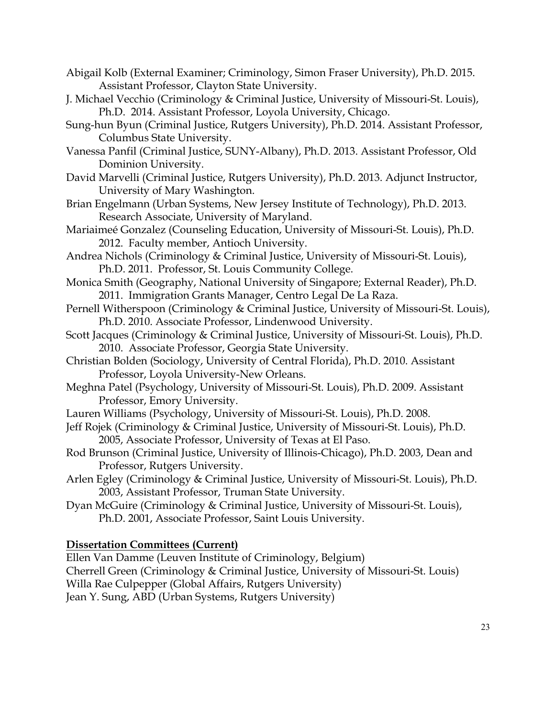- Abigail Kolb (External Examiner; Criminology, Simon Fraser University), Ph.D. 2015. Assistant Professor, Clayton State University.
- J. Michael Vecchio (Criminology & Criminal Justice, University of Missouri-St. Louis), Ph.D. 2014. Assistant Professor, Loyola University, Chicago.
- Sung-hun Byun (Criminal Justice, Rutgers University), Ph.D. 2014. Assistant Professor, Columbus State University.
- Vanessa Panfil (Criminal Justice, SUNY-Albany), Ph.D. 2013. Assistant Professor, Old Dominion University.
- David Marvelli (Criminal Justice, Rutgers University), Ph.D. 2013. Adjunct Instructor, University of Mary Washington.
- Brian Engelmann (Urban Systems, New Jersey Institute of Technology), Ph.D. 2013. Research Associate, University of Maryland.
- Mariaimeé Gonzalez (Counseling Education, University of Missouri-St. Louis), Ph.D. 2012. Faculty member, Antioch University.
- Andrea Nichols (Criminology & Criminal Justice, University of Missouri-St. Louis), Ph.D. 2011. Professor, St. Louis Community College.
- Monica Smith (Geography, National University of Singapore; External Reader), Ph.D. 2011. Immigration Grants Manager, Centro Legal De La Raza.
- Pernell Witherspoon (Criminology & Criminal Justice, University of Missouri-St. Louis), Ph.D. 2010. Associate Professor, Lindenwood University.
- Scott Jacques (Criminology & Criminal Justice, University of Missouri-St. Louis), Ph.D. 2010. Associate Professor, Georgia State University.
- Christian Bolden (Sociology, University of Central Florida), Ph.D. 2010. Assistant Professor, Loyola University-New Orleans.
- Meghna Patel (Psychology, University of Missouri-St. Louis), Ph.D. 2009. Assistant Professor, Emory University.
- Lauren Williams (Psychology, University of Missouri-St. Louis), Ph.D. 2008.
- Jeff Rojek (Criminology & Criminal Justice, University of Missouri-St. Louis), Ph.D. 2005, Associate Professor, University of Texas at El Paso.
- Rod Brunson (Criminal Justice, University of Illinois-Chicago), Ph.D. 2003, Dean and Professor, Rutgers University.
- Arlen Egley (Criminology & Criminal Justice, University of Missouri-St. Louis), Ph.D. 2003, Assistant Professor, Truman State University.
- Dyan McGuire (Criminology & Criminal Justice, University of Missouri-St. Louis), Ph.D. 2001, Associate Professor, Saint Louis University.

# **Dissertation Committees (Current)**

Ellen Van Damme (Leuven Institute of Criminology, Belgium) Cherrell Green (Criminology & Criminal Justice, University of Missouri-St. Louis) Willa Rae Culpepper (Global Affairs, Rutgers University) Jean Y. Sung, ABD (Urban Systems, Rutgers University)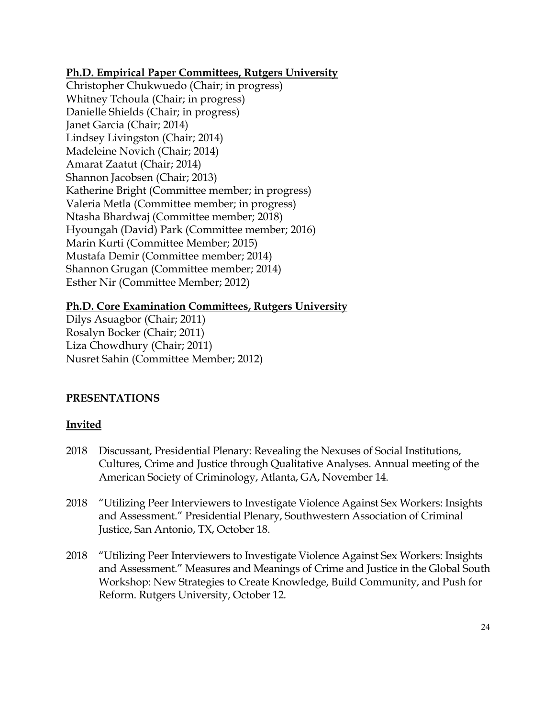# **Ph.D. Empirical Paper Committees, Rutgers University**

Christopher Chukwuedo (Chair; in progress) Whitney Tchoula (Chair; in progress) Danielle Shields (Chair; in progress) Janet Garcia (Chair; 2014) Lindsey Livingston (Chair; 2014) Madeleine Novich (Chair; 2014) Amarat Zaatut (Chair; 2014) Shannon Jacobsen (Chair; 2013) Katherine Bright (Committee member; in progress) Valeria Metla (Committee member; in progress) Ntasha Bhardwaj (Committee member; 2018) Hyoungah (David) Park (Committee member; 2016) Marin Kurti (Committee Member; 2015) Mustafa Demir (Committee member; 2014) Shannon Grugan (Committee member; 2014) Esther Nir (Committee Member; 2012)

# **Ph.D. Core Examination Committees, Rutgers University**

Dilys Asuagbor (Chair; 2011) Rosalyn Bocker (Chair; 2011) Liza Chowdhury (Chair; 2011) Nusret Sahin (Committee Member; 2012)

# **PRESENTATIONS**

# **Invited**

- 2018 Discussant, Presidential Plenary: Revealing the Nexuses of Social Institutions, Cultures, Crime and Justice through Qualitative Analyses. Annual meeting of the American Society of Criminology, Atlanta, GA, November 14.
- 2018 "Utilizing Peer Interviewers to Investigate Violence Against Sex Workers: Insights and Assessment." Presidential Plenary, Southwestern Association of Criminal Justice, San Antonio, TX, October 18.
- 2018 "Utilizing Peer Interviewers to Investigate Violence Against Sex Workers: Insights and Assessment." Measures and Meanings of Crime and Justice in the Global South Workshop: New Strategies to Create Knowledge, Build Community, and Push for Reform. Rutgers University, October 12.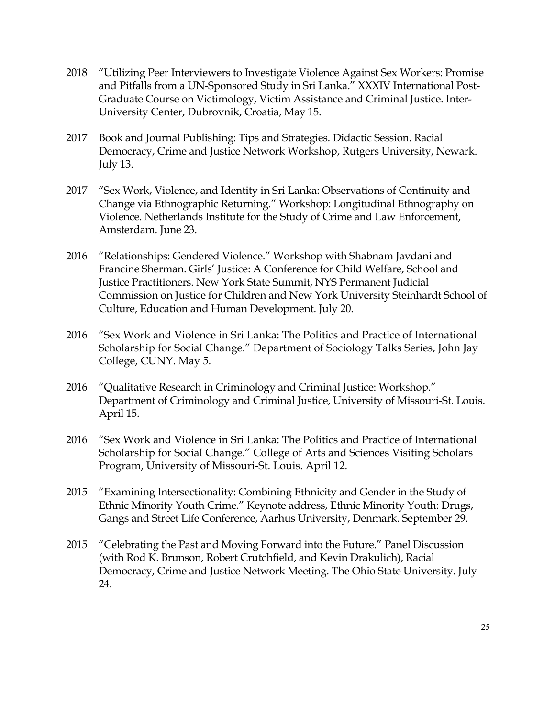- 2018 "Utilizing Peer Interviewers to Investigate Violence Against Sex Workers: Promise and Pitfalls from a UN-Sponsored Study in Sri Lanka." XXXIV International Post-Graduate Course on Victimology, Victim Assistance and Criminal Justice. Inter-University Center, Dubrovnik, Croatia, May 15.
- 2017 Book and Journal Publishing: Tips and Strategies. Didactic Session. Racial Democracy, Crime and Justice Network Workshop, Rutgers University, Newark. July 13.
- 2017 "Sex Work, Violence, and Identity in Sri Lanka: Observations of Continuity and Change via Ethnographic Returning." Workshop: Longitudinal Ethnography on Violence. Netherlands Institute for the Study of Crime and Law Enforcement, Amsterdam. June 23.
- 2016 "Relationships: Gendered Violence." Workshop with Shabnam Javdani and Francine Sherman. Girls' Justice: A Conference for Child Welfare, School and Justice Practitioners. New York State Summit, NYS Permanent Judicial Commission on Justice for Children and New York University Steinhardt School of Culture, Education and Human Development. July 20.
- 2016 "Sex Work and Violence in Sri Lanka: The Politics and Practice of International Scholarship for Social Change." Department of Sociology Talks Series, John Jay College, CUNY. May 5.
- 2016 "Qualitative Research in Criminology and Criminal Justice: Workshop." Department of Criminology and Criminal Justice, University of Missouri-St. Louis. April 15.
- 2016 "Sex Work and Violence in Sri Lanka: The Politics and Practice of International Scholarship for Social Change." College of Arts and Sciences Visiting Scholars Program, University of Missouri-St. Louis. April 12.
- 2015 "Examining Intersectionality: Combining Ethnicity and Gender in the Study of Ethnic Minority Youth Crime." Keynote address, Ethnic Minority Youth: Drugs, Gangs and Street Life Conference, Aarhus University, Denmark. September 29.
- 2015 "Celebrating the Past and Moving Forward into the Future." Panel Discussion (with Rod K. Brunson, Robert Crutchfield, and Kevin Drakulich), Racial Democracy, Crime and Justice Network Meeting. The Ohio State University. July 24.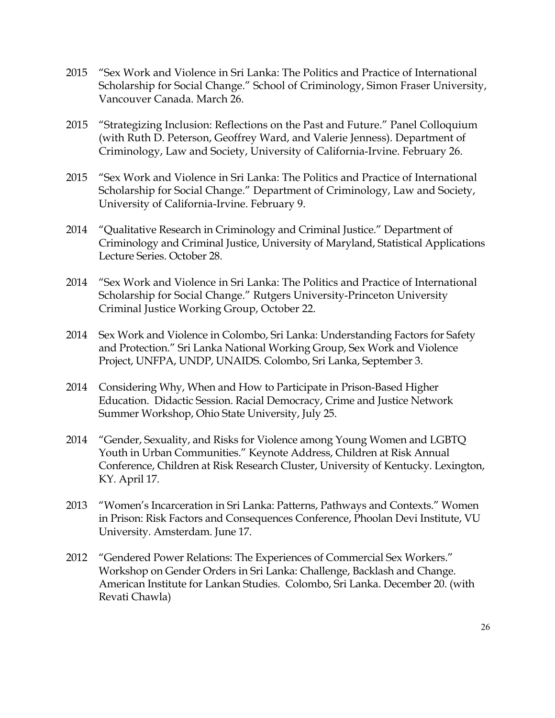- 2015 "Sex Work and Violence in Sri Lanka: The Politics and Practice of International Scholarship for Social Change." School of Criminology, Simon Fraser University, Vancouver Canada. March 26.
- 2015 "Strategizing Inclusion: Reflections on the Past and Future." Panel Colloquium (with Ruth D. Peterson, Geoffrey Ward, and Valerie Jenness). Department of Criminology, Law and Society, University of California-Irvine. February 26.
- 2015 "Sex Work and Violence in Sri Lanka: The Politics and Practice of International Scholarship for Social Change." Department of Criminology, Law and Society, University of California-Irvine. February 9.
- 2014 "Qualitative Research in Criminology and Criminal Justice." Department of Criminology and Criminal Justice, University of Maryland, Statistical Applications Lecture Series. October 28.
- 2014 "Sex Work and Violence in Sri Lanka: The Politics and Practice of International Scholarship for Social Change." Rutgers University-Princeton University Criminal Justice Working Group, October 22.
- 2014 Sex Work and Violence in Colombo, Sri Lanka: Understanding Factors for Safety and Protection." Sri Lanka National Working Group, Sex Work and Violence Project, UNFPA, UNDP, UNAIDS. Colombo, Sri Lanka, September 3.
- 2014 Considering Why, When and How to Participate in Prison-Based Higher Education. Didactic Session. Racial Democracy, Crime and Justice Network Summer Workshop, Ohio State University, July 25.
- 2014 "Gender, Sexuality, and Risks for Violence among Young Women and LGBTQ Youth in Urban Communities." Keynote Address, Children at Risk Annual Conference, Children at Risk Research Cluster, University of Kentucky. Lexington, KY. April 17.
- 2013 "Women's Incarceration in Sri Lanka: Patterns, Pathways and Contexts." Women in Prison: Risk Factors and Consequences Conference, Phoolan Devi Institute, VU University. Amsterdam. June 17.
- 2012 "Gendered Power Relations: The Experiences of Commercial Sex Workers." Workshop on Gender Orders in Sri Lanka: Challenge, Backlash and Change. American Institute for Lankan Studies. Colombo, Sri Lanka. December 20. (with Revati Chawla)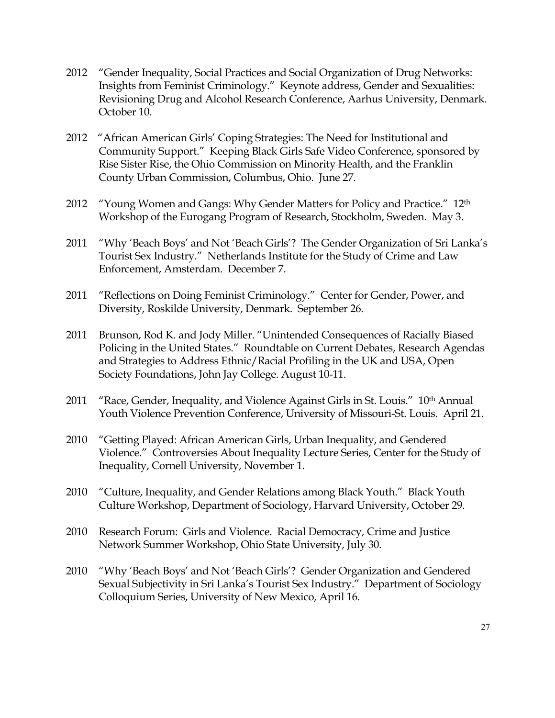- 2012 "Gender Inequality, Social Practices and Social Organization of Drug Networks: Insights from Feminist Criminology." Keynote address, Gender and Sexualities: Revisioning Drug and Alcohol Research Conference, Aarhus University, Denmark. October 10.
- 2012 "African American Girls' Coping Strategies: The Need for Institutional and Community Support." Keeping Black Girls Safe Video Conference, sponsored by Rise Sister Rise, the Ohio Commission on Minority Health, and the Franklin County Urban Commission, Columbus, Ohio. June 27.
- 2012 "Young Women and Gangs: Why Gender Matters for Policy and Practice." 12<sup>th</sup> Workshop of the Eurogang Program of Research, Stockholm, Sweden. May 3.
- 2011 "Why 'Beach Boys' and Not 'Beach Girls'? The Gender Organization of Sri Lanka's Tourist Sex Industry." Netherlands Institute for the Study of Crime and Law Enforcement, Amsterdam. December 7.
- 2011 "Reflections on Doing Feminist Criminology." Center for Gender, Power, and Diversity, Roskilde University, Denmark. September 26.
- 2011 Brunson, Rod K. and Jody Miller. "Unintended Consequences of Racially Biased Policing in the United States." Roundtable on Current Debates, Research Agendas and Strategies to Address Ethnic/Racial Profiling in the UK and USA, Open Society Foundations, John Jay College. August 10-11.
- 2011 "Race, Gender, Inequality, and Violence Against Girls in St. Louis." 10th Annual Youth Violence Prevention Conference, University of Missouri-St. Louis. April 21.
- 2010 "Getting Played: African American Girls, Urban Inequality, and Gendered Violence." Controversies About Inequality Lecture Series, Center for the Study of Inequality, Cornell University, November 1.
- 2010 "Culture, Inequality, and Gender Relations among Black Youth." Black Youth Culture Workshop, Department of Sociology, Harvard University, October 29.
- 2010 Research Forum: Girls and Violence. Racial Democracy, Crime and Justice Network Summer Workshop, Ohio State University, July 30.
- 2010 "Why 'Beach Boys' and Not 'Beach Girls'? Gender Organization and Gendered Sexual Subjectivity in Sri Lanka's Tourist Sex Industry." Department of Sociology Colloquium Series, University of New Mexico, April 16.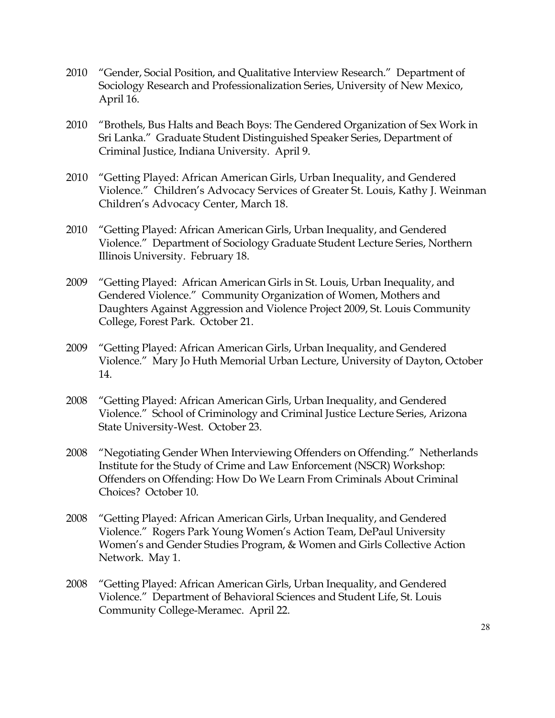- 2010 "Gender, Social Position, and Qualitative Interview Research." Department of Sociology Research and Professionalization Series, University of New Mexico, April 16.
- 2010 "Brothels, Bus Halts and Beach Boys: The Gendered Organization of Sex Work in Sri Lanka." Graduate Student Distinguished Speaker Series, Department of Criminal Justice, Indiana University. April 9.
- 2010 "Getting Played: African American Girls, Urban Inequality, and Gendered Violence." Children's Advocacy Services of Greater St. Louis, Kathy J. Weinman Children's Advocacy Center, March 18.
- 2010 "Getting Played: African American Girls, Urban Inequality, and Gendered Violence." Department of Sociology Graduate Student Lecture Series, Northern Illinois University. February 18.
- 2009 "Getting Played: African American Girls in St. Louis, Urban Inequality, and Gendered Violence." Community Organization of Women, Mothers and Daughters Against Aggression and Violence Project 2009, St. Louis Community College, Forest Park. October 21.
- 2009 "Getting Played: African American Girls, Urban Inequality, and Gendered Violence." Mary Jo Huth Memorial Urban Lecture, University of Dayton, October 14.
- 2008 "Getting Played: African American Girls, Urban Inequality, and Gendered Violence." School of Criminology and Criminal Justice Lecture Series, Arizona State University-West. October 23.
- 2008 "Negotiating Gender When Interviewing Offenders on Offending." Netherlands Institute for the Study of Crime and Law Enforcement (NSCR) Workshop: Offenders on Offending: How Do We Learn From Criminals About Criminal Choices? October 10.
- 2008 "Getting Played: African American Girls, Urban Inequality, and Gendered Violence." Rogers Park Young Women's Action Team, DePaul University Women's and Gender Studies Program, & Women and Girls Collective Action Network. May 1.
- 2008 "Getting Played: African American Girls, Urban Inequality, and Gendered Violence." Department of Behavioral Sciences and Student Life, St. Louis Community College-Meramec. April 22.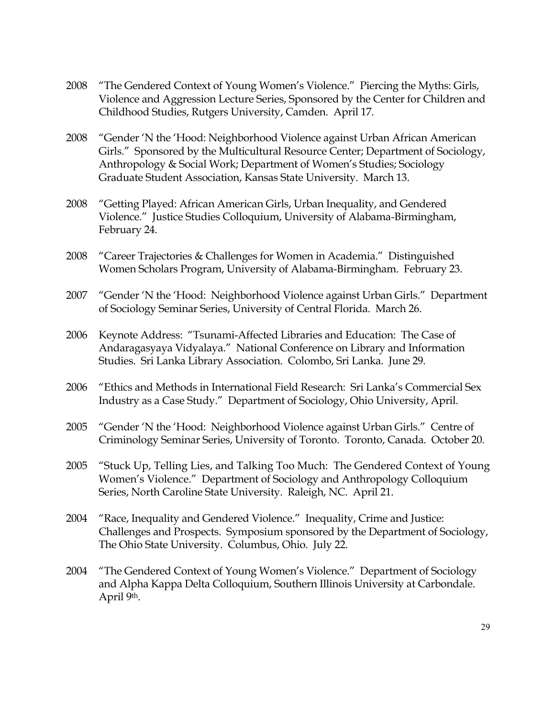- 2008 "The Gendered Context of Young Women's Violence." Piercing the Myths: Girls, Violence and Aggression Lecture Series, Sponsored by the Center for Children and Childhood Studies, Rutgers University, Camden. April 17.
- 2008 "Gender 'N the 'Hood: Neighborhood Violence against Urban African American Girls." Sponsored by the Multicultural Resource Center; Department of Sociology, Anthropology & Social Work; Department of Women's Studies; Sociology Graduate Student Association, Kansas State University. March 13.
- 2008 "Getting Played: African American Girls, Urban Inequality, and Gendered Violence." Justice Studies Colloquium, University of Alabama-Birmingham, February 24.
- 2008 "Career Trajectories & Challenges for Women in Academia." Distinguished Women Scholars Program, University of Alabama-Birmingham. February 23.
- 2007 "Gender 'N the 'Hood: Neighborhood Violence against Urban Girls." Department of Sociology Seminar Series, University of Central Florida. March 26.
- 2006 Keynote Address: "Tsunami-Affected Libraries and Education: The Case of Andaragasyaya Vidyalaya." National Conference on Library and Information Studies. Sri Lanka Library Association. Colombo, Sri Lanka. June 29.
- 2006 "Ethics and Methods in International Field Research: Sri Lanka's Commercial Sex Industry as a Case Study." Department of Sociology, Ohio University, April.
- 2005 "Gender 'N the 'Hood: Neighborhood Violence against Urban Girls." Centre of Criminology Seminar Series, University of Toronto. Toronto, Canada. October 20.
- 2005 "Stuck Up, Telling Lies, and Talking Too Much: The Gendered Context of Young Women's Violence." Department of Sociology and Anthropology Colloquium Series, North Caroline State University. Raleigh, NC. April 21.
- 2004 "Race, Inequality and Gendered Violence." Inequality, Crime and Justice: Challenges and Prospects. Symposium sponsored by the Department of Sociology, The Ohio State University. Columbus, Ohio. July 22.
- 2004 "The Gendered Context of Young Women's Violence." Department of Sociology and Alpha Kappa Delta Colloquium, Southern Illinois University at Carbondale. April 9th.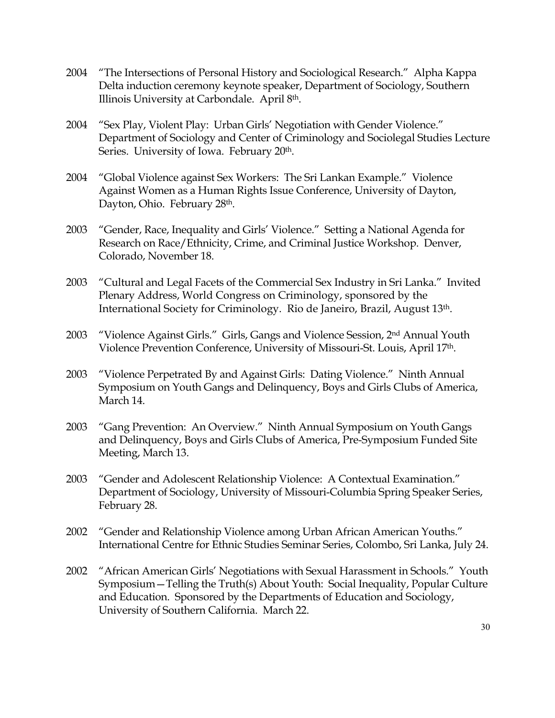- 2004 "The Intersections of Personal History and Sociological Research." Alpha Kappa Delta induction ceremony keynote speaker, Department of Sociology, Southern Illinois University at Carbondale. April 8th.
- 2004 "Sex Play, Violent Play: Urban Girls' Negotiation with Gender Violence." Department of Sociology and Center of Criminology and Sociolegal Studies Lecture Series. University of Iowa. February 20<sup>th</sup>.
- 2004 "Global Violence against Sex Workers: The Sri Lankan Example." Violence Against Women as a Human Rights Issue Conference, University of Dayton, Dayton, Ohio. February 28<sup>th</sup>.
- 2003 "Gender, Race, Inequality and Girls' Violence." Setting a National Agenda for Research on Race/Ethnicity, Crime, and Criminal Justice Workshop. Denver, Colorado, November 18.
- 2003 "Cultural and Legal Facets of the Commercial Sex Industry in Sri Lanka." Invited Plenary Address, World Congress on Criminology, sponsored by the International Society for Criminology. Rio de Janeiro, Brazil, August 13th.
- 2003 "Violence Against Girls." Girls, Gangs and Violence Session, 2nd Annual Youth Violence Prevention Conference, University of Missouri-St. Louis, April 17th.
- 2003 "Violence Perpetrated By and Against Girls: Dating Violence." Ninth Annual Symposium on Youth Gangs and Delinquency, Boys and Girls Clubs of America, March 14.
- 2003 "Gang Prevention: An Overview." Ninth Annual Symposium on Youth Gangs and Delinquency, Boys and Girls Clubs of America, Pre-Symposium Funded Site Meeting, March 13.
- 2003 "Gender and Adolescent Relationship Violence: A Contextual Examination." Department of Sociology, University of Missouri-Columbia Spring Speaker Series, February 28.
- 2002 "Gender and Relationship Violence among Urban African American Youths." International Centre for Ethnic Studies Seminar Series, Colombo, Sri Lanka, July 24.
- 2002 "African American Girls' Negotiations with Sexual Harassment in Schools." Youth Symposium—Telling the Truth(s) About Youth: Social Inequality, Popular Culture and Education. Sponsored by the Departments of Education and Sociology, University of Southern California. March 22.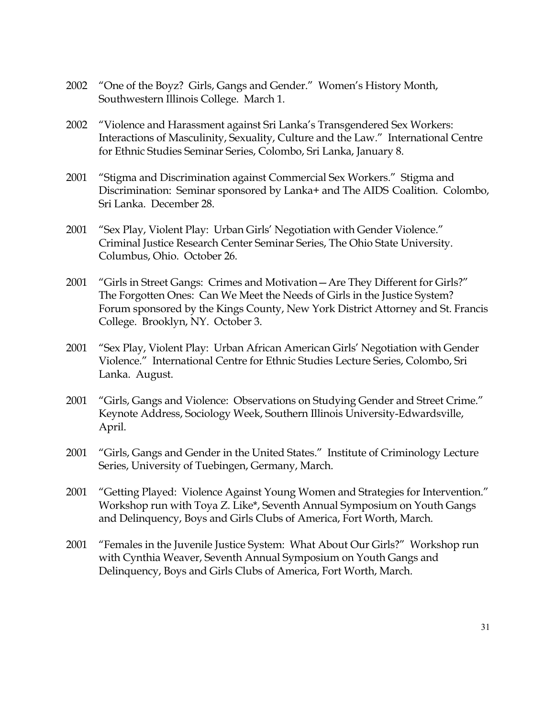- 2002 "One of the Boyz? Girls, Gangs and Gender." Women's History Month, Southwestern Illinois College. March 1.
- 2002 "Violence and Harassment against Sri Lanka's Transgendered Sex Workers: Interactions of Masculinity, Sexuality, Culture and the Law." International Centre for Ethnic Studies Seminar Series, Colombo, Sri Lanka, January 8.
- 2001 "Stigma and Discrimination against Commercial Sex Workers." Stigma and Discrimination: Seminar sponsored by Lanka+ and The AIDS Coalition. Colombo, Sri Lanka. December 28.
- 2001 "Sex Play, Violent Play: Urban Girls' Negotiation with Gender Violence." Criminal Justice Research Center Seminar Series, The Ohio State University. Columbus, Ohio. October 26.
- 2001 "Girls in Street Gangs: Crimes and Motivation—Are They Different for Girls?" The Forgotten Ones: Can We Meet the Needs of Girls in the Justice System? Forum sponsored by the Kings County, New York District Attorney and St. Francis College. Brooklyn, NY. October 3.
- 2001 "Sex Play, Violent Play: Urban African American Girls' Negotiation with Gender Violence." International Centre for Ethnic Studies Lecture Series, Colombo, Sri Lanka. August.
- 2001 "Girls, Gangs and Violence: Observations on Studying Gender and Street Crime." Keynote Address, Sociology Week, Southern Illinois University-Edwardsville, April.
- 2001 "Girls, Gangs and Gender in the United States." Institute of Criminology Lecture Series, University of Tuebingen, Germany, March.
- 2001 "Getting Played: Violence Against Young Women and Strategies for Intervention." Workshop run with Toya Z. Like\*, Seventh Annual Symposium on Youth Gangs and Delinquency, Boys and Girls Clubs of America, Fort Worth, March.
- 2001 "Females in the Juvenile Justice System: What About Our Girls?" Workshop run with Cynthia Weaver, Seventh Annual Symposium on Youth Gangs and Delinquency, Boys and Girls Clubs of America, Fort Worth, March.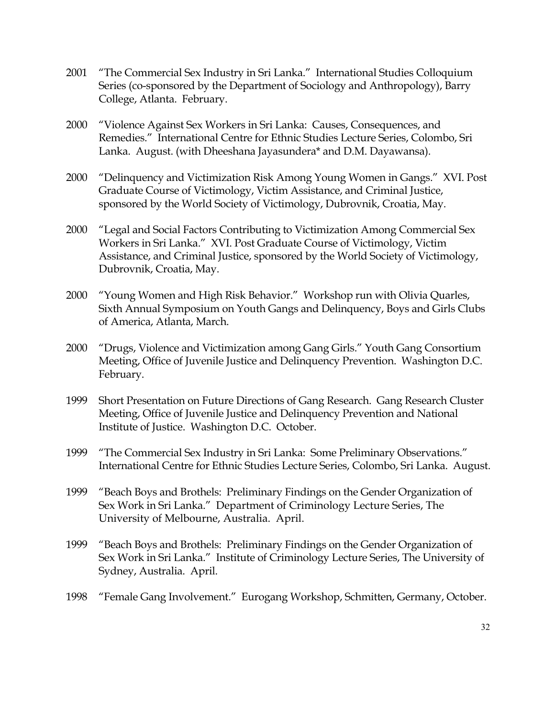- 2001 "The Commercial Sex Industry in Sri Lanka." International Studies Colloquium Series (co-sponsored by the Department of Sociology and Anthropology), Barry College, Atlanta. February.
- 2000 "Violence Against Sex Workers in Sri Lanka: Causes, Consequences, and Remedies." International Centre for Ethnic Studies Lecture Series, Colombo, Sri Lanka. August. (with Dheeshana Jayasundera\* and D.M. Dayawansa).
- 2000 "Delinquency and Victimization Risk Among Young Women in Gangs." XVI. Post Graduate Course of Victimology, Victim Assistance, and Criminal Justice, sponsored by the World Society of Victimology, Dubrovnik, Croatia, May.
- 2000 "Legal and Social Factors Contributing to Victimization Among Commercial Sex Workers in Sri Lanka." XVI. Post Graduate Course of Victimology, Victim Assistance, and Criminal Justice, sponsored by the World Society of Victimology, Dubrovnik, Croatia, May.
- 2000 "Young Women and High Risk Behavior." Workshop run with Olivia Quarles, Sixth Annual Symposium on Youth Gangs and Delinquency, Boys and Girls Clubs of America, Atlanta, March.
- 2000 "Drugs, Violence and Victimization among Gang Girls." Youth Gang Consortium Meeting, Office of Juvenile Justice and Delinquency Prevention. Washington D.C. February.
- 1999 Short Presentation on Future Directions of Gang Research. Gang Research Cluster Meeting, Office of Juvenile Justice and Delinquency Prevention and National Institute of Justice. Washington D.C. October.
- 1999 "The Commercial Sex Industry in Sri Lanka: Some Preliminary Observations." International Centre for Ethnic Studies Lecture Series, Colombo, Sri Lanka. August.
- 1999 "Beach Boys and Brothels: Preliminary Findings on the Gender Organization of Sex Work in Sri Lanka." Department of Criminology Lecture Series, The University of Melbourne, Australia. April.
- 1999 "Beach Boys and Brothels: Preliminary Findings on the Gender Organization of Sex Work in Sri Lanka." Institute of Criminology Lecture Series, The University of Sydney, Australia. April.
- 1998 "Female Gang Involvement." Eurogang Workshop, Schmitten, Germany, October.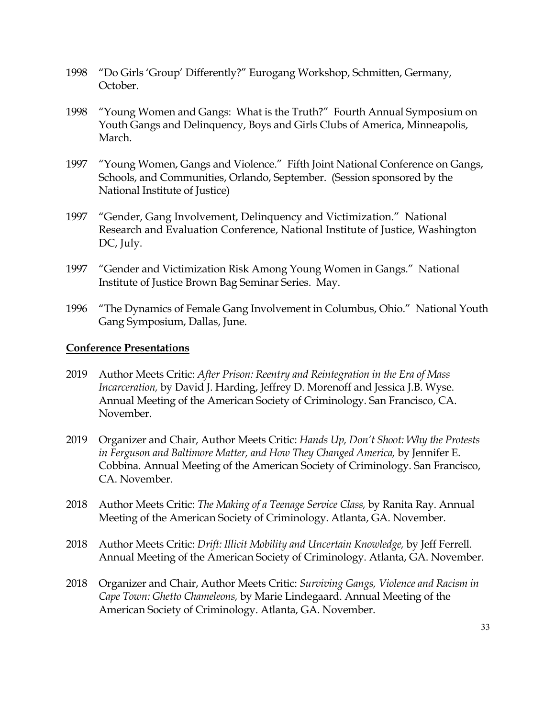- 1998 "Do Girls 'Group' Differently?" Eurogang Workshop, Schmitten, Germany, October.
- 1998 "Young Women and Gangs: What is the Truth?" Fourth Annual Symposium on Youth Gangs and Delinquency, Boys and Girls Clubs of America, Minneapolis, March.
- 1997 "Young Women, Gangs and Violence." Fifth Joint National Conference on Gangs, Schools, and Communities, Orlando, September. (Session sponsored by the National Institute of Justice)
- 1997 "Gender, Gang Involvement, Delinquency and Victimization." National Research and Evaluation Conference, National Institute of Justice, Washington DC, July.
- 1997 "Gender and Victimization Risk Among Young Women in Gangs." National Institute of Justice Brown Bag Seminar Series. May.
- 1996 "The Dynamics of Female Gang Involvement in Columbus, Ohio." National Youth Gang Symposium, Dallas, June.

#### **Conference Presentations**

- 2019 Author Meets Critic: *After Prison: Reentry and Reintegration in the Era of Mass Incarceration,* by David J. Harding, Jeffrey D. Morenoff and Jessica J.B. Wyse. Annual Meeting of the American Society of Criminology. San Francisco, CA. November.
- 2019 Organizer and Chair, Author Meets Critic: *Hands Up, Don't Shoot: Why the Protests in Ferguson and Baltimore Matter, and How They Changed America,* by Jennifer E. Cobbina. Annual Meeting of the American Society of Criminology. San Francisco, CA. November.
- 2018 Author Meets Critic: *The Making of a Teenage Service Class,* by Ranita Ray. Annual Meeting of the American Society of Criminology. Atlanta, GA. November.
- 2018 Author Meets Critic: *Drift: Illicit Mobility and Uncertain Knowledge,* by Jeff Ferrell. Annual Meeting of the American Society of Criminology. Atlanta, GA. November.
- 2018 Organizer and Chair, Author Meets Critic: *Surviving Gangs, Violence and Racism in Cape Town: Ghetto Chameleons,* by Marie Lindegaard. Annual Meeting of the American Society of Criminology. Atlanta, GA. November.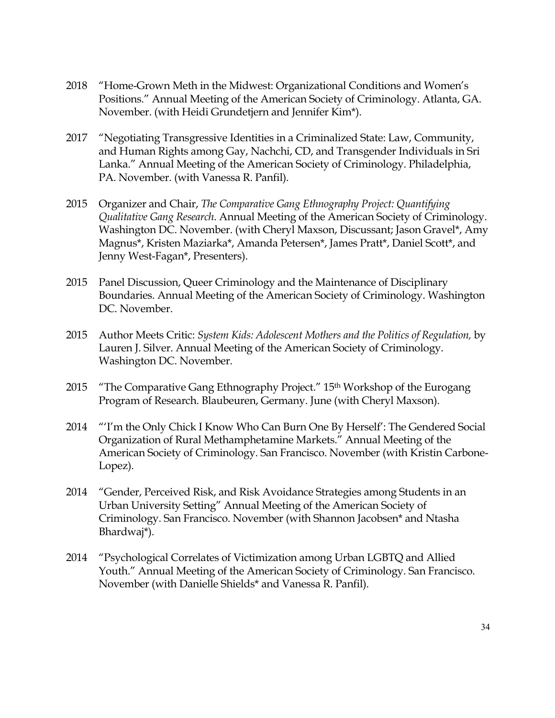- 2018 "Home-Grown Meth in the Midwest: Organizational Conditions and Women's Positions." Annual Meeting of the American Society of Criminology. Atlanta, GA. November. (with Heidi Grundetjern and Jennifer Kim\*).
- 2017 "Negotiating Transgressive Identities in a Criminalized State: Law, Community, and Human Rights among Gay, Nachchi, CD, and Transgender Individuals in Sri Lanka." Annual Meeting of the American Society of Criminology. Philadelphia, PA. November. (with Vanessa R. Panfil).
- 2015 Organizer and Chair, *The Comparative Gang Ethnography Project: Quantifying Qualitative Gang Research*. Annual Meeting of the American Society of Criminology. Washington DC. November. (with Cheryl Maxson, Discussant; Jason Gravel\*, Amy Magnus\*, Kristen Maziarka\*, Amanda Petersen\*, James Pratt\*, Daniel Scott\*, and Jenny West-Fagan\*, Presenters).
- 2015 Panel Discussion, Queer Criminology and the Maintenance of Disciplinary Boundaries. Annual Meeting of the American Society of Criminology. Washington DC. November.
- 2015 Author Meets Critic: *System Kids: Adolescent Mothers and the Politics of Regulation,* by Lauren J. Silver. Annual Meeting of the American Society of Criminology. Washington DC. November.
- 2015 "The Comparative Gang Ethnography Project." 15<sup>th</sup> Workshop of the Eurogang Program of Research. Blaubeuren, Germany. June (with Cheryl Maxson).
- 2014 "'I'm the Only Chick I Know Who Can Burn One By Herself': The Gendered Social Organization of Rural Methamphetamine Markets." Annual Meeting of the American Society of Criminology. San Francisco. November (with Kristin Carbone-Lopez).
- 2014 "Gender, Perceived Risk, and Risk Avoidance Strategies among Students in an Urban University Setting" Annual Meeting of the American Society of Criminology. San Francisco. November (with Shannon Jacobsen\* and Ntasha Bhardwaj\*).
- 2014 "Psychological Correlates of Victimization among Urban LGBTQ and Allied Youth." Annual Meeting of the American Society of Criminology. San Francisco. November (with Danielle Shields\* and Vanessa R. Panfil).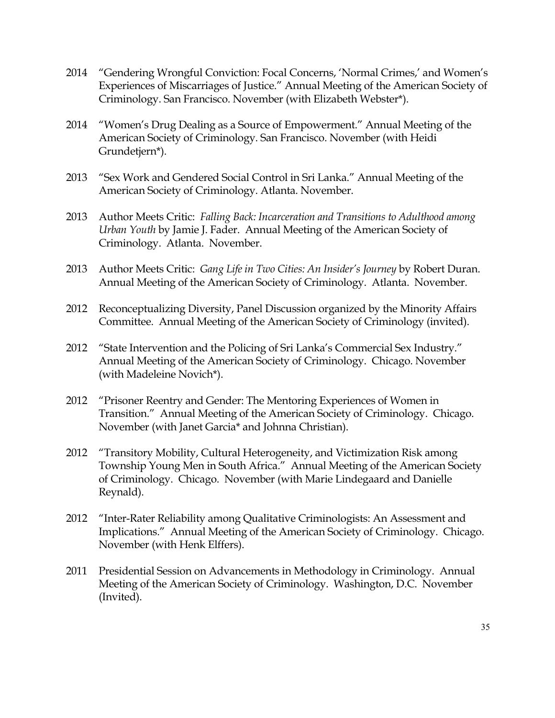- 2014 "Gendering Wrongful Conviction: Focal Concerns, 'Normal Crimes,' and Women's Experiences of Miscarriages of Justice." Annual Meeting of the American Society of Criminology. San Francisco. November (with Elizabeth Webster\*).
- 2014 "Women's Drug Dealing as a Source of Empowerment." Annual Meeting of the American Society of Criminology. San Francisco. November (with Heidi Grundetjern\*).
- 2013 "Sex Work and Gendered Social Control in Sri Lanka." Annual Meeting of the American Society of Criminology. Atlanta. November.
- 2013 Author Meets Critic: *Falling Back: Incarceration and Transitions to Adulthood among Urban Youth* by Jamie J. Fader. Annual Meeting of the American Society of Criminology. Atlanta. November.
- 2013 Author Meets Critic: *Gang Life in Two Cities: An Insider's Journey* by Robert Duran. Annual Meeting of the American Society of Criminology. Atlanta. November.
- 2012 Reconceptualizing Diversity, Panel Discussion organized by the Minority Affairs Committee. Annual Meeting of the American Society of Criminology (invited).
- 2012 "State Intervention and the Policing of Sri Lanka's Commercial Sex Industry." Annual Meeting of the American Society of Criminology. Chicago. November (with Madeleine Novich\*).
- 2012 "Prisoner Reentry and Gender: The Mentoring Experiences of Women in Transition." Annual Meeting of the American Society of Criminology. Chicago. November (with Janet Garcia\* and Johnna Christian).
- 2012 "Transitory Mobility, Cultural Heterogeneity, and Victimization Risk among Township Young Men in South Africa." Annual Meeting of the American Society of Criminology. Chicago. November (with Marie Lindegaard and Danielle Reynald).
- 2012 "Inter-Rater Reliability among Qualitative Criminologists: An Assessment and Implications." Annual Meeting of the American Society of Criminology. Chicago. November (with Henk Elffers).
- 2011 Presidential Session on Advancements in Methodology in Criminology. Annual Meeting of the American Society of Criminology. Washington, D.C. November (Invited).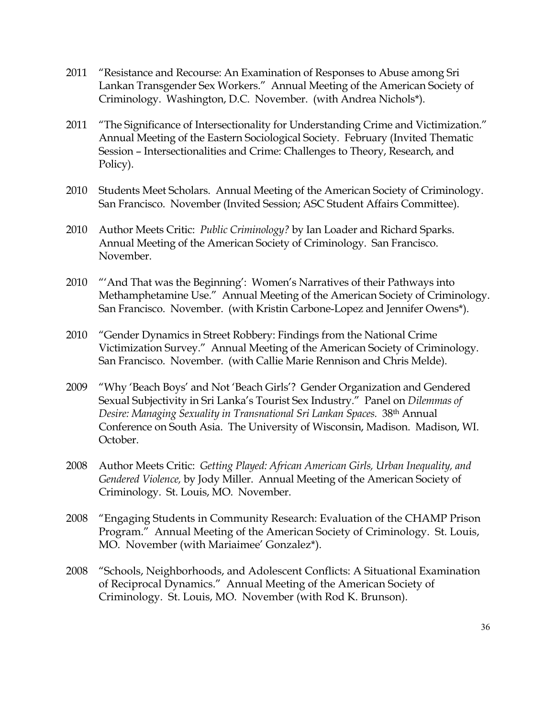- 2011 "Resistance and Recourse: An Examination of Responses to Abuse among Sri Lankan Transgender Sex Workers." Annual Meeting of the American Society of Criminology. Washington, D.C. November. (with Andrea Nichols\*).
- 2011 "The Significance of Intersectionality for Understanding Crime and Victimization." Annual Meeting of the Eastern Sociological Society. February (Invited Thematic Session – Intersectionalities and Crime: Challenges to Theory, Research, and Policy).
- 2010 Students Meet Scholars. Annual Meeting of the American Society of Criminology. San Francisco. November (Invited Session; ASC Student Affairs Committee).
- 2010 Author Meets Critic: *Public Criminology?* by Ian Loader and Richard Sparks. Annual Meeting of the American Society of Criminology. San Francisco. November.
- 2010 "'And That was the Beginning': Women's Narratives of their Pathways into Methamphetamine Use." Annual Meeting of the American Society of Criminology. San Francisco. November. (with Kristin Carbone-Lopez and Jennifer Owens\*).
- 2010 "Gender Dynamics in Street Robbery: Findings from the National Crime Victimization Survey." Annual Meeting of the American Society of Criminology. San Francisco. November. (with Callie Marie Rennison and Chris Melde).
- 2009 "Why 'Beach Boys' and Not 'Beach Girls'? Gender Organization and Gendered Sexual Subjectivity in Sri Lanka's Tourist Sex Industry." Panel on *Dilemmas of Desire: Managing Sexuality in Transnational Sri Lankan Spaces.* 38th Annual Conference on South Asia. The University of Wisconsin, Madison. Madison, WI. October.
- 2008 Author Meets Critic: *Getting Played: African American Girls, Urban Inequality, and Gendered Violence,* by Jody Miller. Annual Meeting of the American Society of Criminology. St. Louis, MO. November.
- 2008 "Engaging Students in Community Research: Evaluation of the CHAMP Prison Program." Annual Meeting of the American Society of Criminology. St. Louis, MO. November (with Mariaimee' Gonzalez\*).
- 2008 "Schools, Neighborhoods, and Adolescent Conflicts: A Situational Examination of Reciprocal Dynamics." Annual Meeting of the American Society of Criminology. St. Louis, MO. November (with Rod K. Brunson).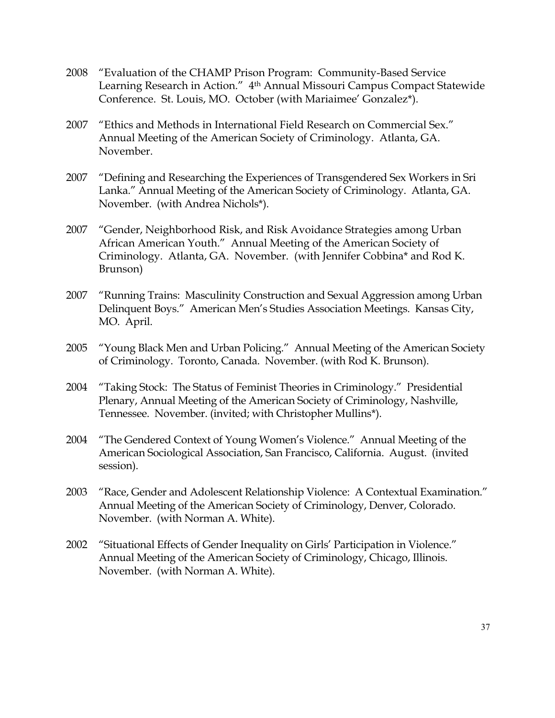- 2008 "Evaluation of the CHAMP Prison Program: Community-Based Service Learning Research in Action." 4th Annual Missouri Campus Compact Statewide Conference. St. Louis, MO. October (with Mariaimee' Gonzalez\*).
- 2007 "Ethics and Methods in International Field Research on Commercial Sex." Annual Meeting of the American Society of Criminology. Atlanta, GA. November.
- 2007 "Defining and Researching the Experiences of Transgendered Sex Workers in Sri Lanka." Annual Meeting of the American Society of Criminology. Atlanta, GA. November. (with Andrea Nichols\*).
- 2007 "Gender, Neighborhood Risk, and Risk Avoidance Strategies among Urban African American Youth." Annual Meeting of the American Society of Criminology. Atlanta, GA. November. (with Jennifer Cobbina\* and Rod K. Brunson)
- 2007 "Running Trains: Masculinity Construction and Sexual Aggression among Urban Delinquent Boys." American Men's Studies Association Meetings. Kansas City, MO. April.
- 2005 "Young Black Men and Urban Policing." Annual Meeting of the American Society of Criminology. Toronto, Canada. November. (with Rod K. Brunson).
- 2004 "Taking Stock: The Status of Feminist Theories in Criminology." Presidential Plenary, Annual Meeting of the American Society of Criminology, Nashville, Tennessee. November. (invited; with Christopher Mullins\*).
- 2004 "The Gendered Context of Young Women's Violence." Annual Meeting of the American Sociological Association, San Francisco, California. August. (invited session).
- 2003 "Race, Gender and Adolescent Relationship Violence: A Contextual Examination." Annual Meeting of the American Society of Criminology, Denver, Colorado. November. (with Norman A. White).
- 2002 "Situational Effects of Gender Inequality on Girls' Participation in Violence." Annual Meeting of the American Society of Criminology, Chicago, Illinois. November. (with Norman A. White).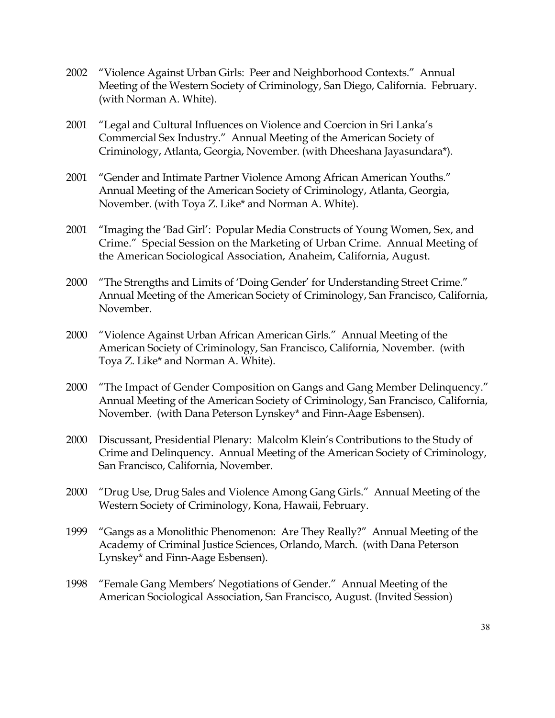- 2002 "Violence Against Urban Girls: Peer and Neighborhood Contexts." Annual Meeting of the Western Society of Criminology, San Diego, California. February. (with Norman A. White).
- 2001 "Legal and Cultural Influences on Violence and Coercion in Sri Lanka's Commercial Sex Industry." Annual Meeting of the American Society of Criminology, Atlanta, Georgia, November. (with Dheeshana Jayasundara\*).
- 2001 "Gender and Intimate Partner Violence Among African American Youths." Annual Meeting of the American Society of Criminology, Atlanta, Georgia, November. (with Toya Z. Like\* and Norman A. White).
- 2001 "Imaging the 'Bad Girl': Popular Media Constructs of Young Women, Sex, and Crime." Special Session on the Marketing of Urban Crime. Annual Meeting of the American Sociological Association, Anaheim, California, August.
- 2000 "The Strengths and Limits of 'Doing Gender' for Understanding Street Crime." Annual Meeting of the American Society of Criminology, San Francisco, California, November.
- 2000 "Violence Against Urban African American Girls." Annual Meeting of the American Society of Criminology, San Francisco, California, November. (with Toya Z. Like\* and Norman A. White).
- 2000 "The Impact of Gender Composition on Gangs and Gang Member Delinquency." Annual Meeting of the American Society of Criminology, San Francisco, California, November. (with Dana Peterson Lynskey\* and Finn-Aage Esbensen).
- 2000 Discussant, Presidential Plenary: Malcolm Klein's Contributions to the Study of Crime and Delinquency. Annual Meeting of the American Society of Criminology, San Francisco, California, November.
- 2000 "Drug Use, Drug Sales and Violence Among Gang Girls." Annual Meeting of the Western Society of Criminology, Kona, Hawaii, February.
- 1999 "Gangs as a Monolithic Phenomenon: Are They Really?" Annual Meeting of the Academy of Criminal Justice Sciences, Orlando, March. (with Dana Peterson Lynskey\* and Finn-Aage Esbensen).
- 1998 "Female Gang Members' Negotiations of Gender." Annual Meeting of the American Sociological Association, San Francisco, August. (Invited Session)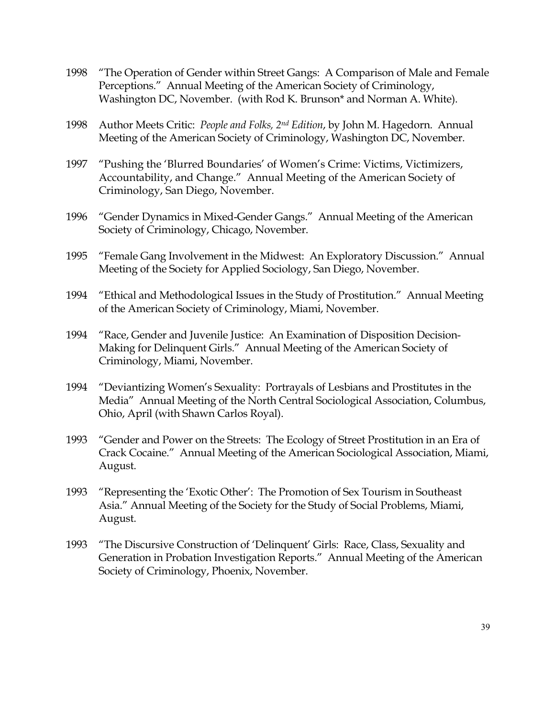- 1998 "The Operation of Gender within Street Gangs: A Comparison of Male and Female Perceptions." Annual Meeting of the American Society of Criminology, Washington DC, November. (with Rod K. Brunson\* and Norman A. White).
- 1998 Author Meets Critic: *People and Folks, 2nd Edition*, by John M. Hagedorn. Annual Meeting of the American Society of Criminology, Washington DC, November.
- 1997 "Pushing the 'Blurred Boundaries' of Women's Crime: Victims, Victimizers, Accountability, and Change." Annual Meeting of the American Society of Criminology, San Diego, November.
- 1996 "Gender Dynamics in Mixed-Gender Gangs." Annual Meeting of the American Society of Criminology, Chicago, November.
- 1995 "Female Gang Involvement in the Midwest: An Exploratory Discussion." Annual Meeting of the Society for Applied Sociology, San Diego, November.
- 1994 "Ethical and Methodological Issues in the Study of Prostitution." Annual Meeting of the American Society of Criminology, Miami, November.
- 1994 "Race, Gender and Juvenile Justice: An Examination of Disposition Decision-Making for Delinquent Girls." Annual Meeting of the American Society of Criminology, Miami, November.
- 1994 "Deviantizing Women's Sexuality: Portrayals of Lesbians and Prostitutes in the Media" Annual Meeting of the North Central Sociological Association, Columbus, Ohio, April (with Shawn Carlos Royal).
- 1993 "Gender and Power on the Streets: The Ecology of Street Prostitution in an Era of Crack Cocaine." Annual Meeting of the American Sociological Association, Miami, August.
- 1993 "Representing the 'Exotic Other': The Promotion of Sex Tourism in Southeast Asia." Annual Meeting of the Society for the Study of Social Problems, Miami, August.
- 1993 "The Discursive Construction of 'Delinquent' Girls: Race, Class, Sexuality and Generation in Probation Investigation Reports." Annual Meeting of the American Society of Criminology, Phoenix, November.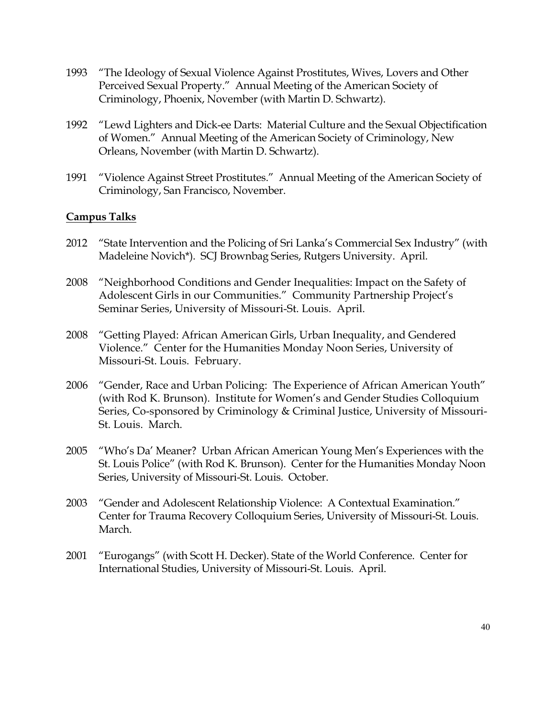- 1993 "The Ideology of Sexual Violence Against Prostitutes, Wives, Lovers and Other Perceived Sexual Property." Annual Meeting of the American Society of Criminology, Phoenix, November (with Martin D. Schwartz).
- 1992 "Lewd Lighters and Dick-ee Darts: Material Culture and the Sexual Objectification of Women." Annual Meeting of the American Society of Criminology, New Orleans, November (with Martin D. Schwartz).
- 1991 "Violence Against Street Prostitutes." Annual Meeting of the American Society of Criminology, San Francisco, November.

# **Campus Talks**

- 2012 "State Intervention and the Policing of Sri Lanka's Commercial Sex Industry" (with Madeleine Novich\*). SCJ Brownbag Series, Rutgers University. April.
- 2008 "Neighborhood Conditions and Gender Inequalities: Impact on the Safety of Adolescent Girls in our Communities." Community Partnership Project's Seminar Series, University of Missouri-St. Louis. April.
- 2008 "Getting Played: African American Girls, Urban Inequality, and Gendered Violence." Center for the Humanities Monday Noon Series, University of Missouri-St. Louis. February.
- 2006 "Gender, Race and Urban Policing: The Experience of African American Youth" (with Rod K. Brunson). Institute for Women's and Gender Studies Colloquium Series, Co-sponsored by Criminology & Criminal Justice, University of Missouri-St. Louis. March.
- 2005 "Who's Da' Meaner? Urban African American Young Men's Experiences with the St. Louis Police" (with Rod K. Brunson). Center for the Humanities Monday Noon Series, University of Missouri-St. Louis. October.
- 2003 "Gender and Adolescent Relationship Violence: A Contextual Examination." Center for Trauma Recovery Colloquium Series, University of Missouri-St. Louis. March.
- 2001 "Eurogangs" (with Scott H. Decker). State of the World Conference. Center for International Studies, University of Missouri-St. Louis. April.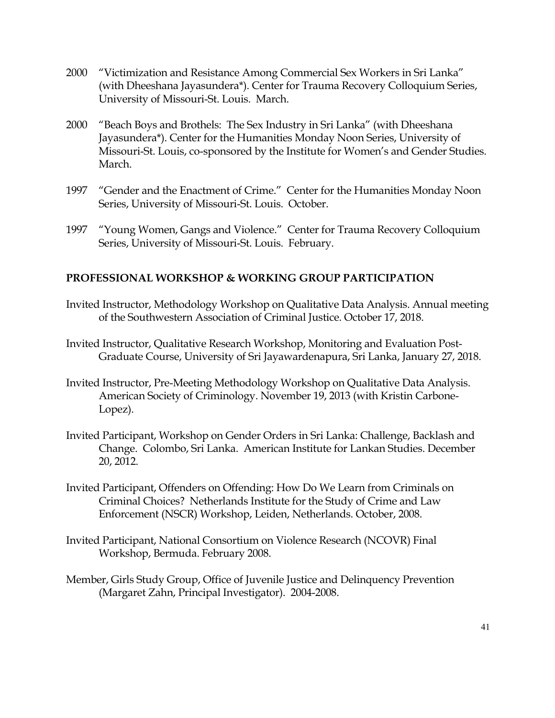- 2000 "Victimization and Resistance Among Commercial Sex Workers in Sri Lanka" (with Dheeshana Jayasundera\*). Center for Trauma Recovery Colloquium Series, University of Missouri-St. Louis. March.
- 2000 "Beach Boys and Brothels: The Sex Industry in Sri Lanka" (with Dheeshana Jayasundera\*). Center for the Humanities Monday Noon Series, University of Missouri-St. Louis, co-sponsored by the Institute for Women's and Gender Studies. March.
- 1997 "Gender and the Enactment of Crime." Center for the Humanities Monday Noon Series, University of Missouri-St. Louis. October.
- 1997 "Young Women, Gangs and Violence." Center for Trauma Recovery Colloquium Series, University of Missouri-St. Louis. February.

# **PROFESSIONAL WORKSHOP & WORKING GROUP PARTICIPATION**

- Invited Instructor, Methodology Workshop on Qualitative Data Analysis. Annual meeting of the Southwestern Association of Criminal Justice. October 17, 2018.
- Invited Instructor, Qualitative Research Workshop, Monitoring and Evaluation Post-Graduate Course, University of Sri Jayawardenapura, Sri Lanka, January 27, 2018.
- Invited Instructor, Pre-Meeting Methodology Workshop on Qualitative Data Analysis. American Society of Criminology. November 19, 2013 (with Kristin Carbone-Lopez).
- Invited Participant, Workshop on Gender Orders in Sri Lanka: Challenge, Backlash and Change. Colombo, Sri Lanka. American Institute for Lankan Studies. December 20, 2012.
- Invited Participant, Offenders on Offending: How Do We Learn from Criminals on Criminal Choices? Netherlands Institute for the Study of Crime and Law Enforcement (NSCR) Workshop, Leiden, Netherlands. October, 2008.
- Invited Participant, National Consortium on Violence Research (NCOVR) Final Workshop, Bermuda. February 2008.
- Member, Girls Study Group, Office of Juvenile Justice and Delinquency Prevention (Margaret Zahn, Principal Investigator). 2004-2008.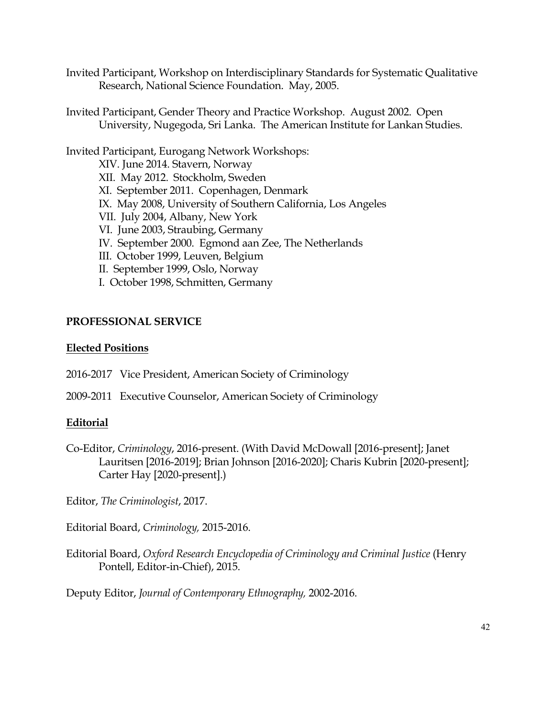- Invited Participant, Workshop on Interdisciplinary Standards for Systematic Qualitative Research, National Science Foundation. May, 2005.
- Invited Participant, Gender Theory and Practice Workshop. August 2002. Open University, Nugegoda, Sri Lanka. The American Institute for Lankan Studies.

Invited Participant, Eurogang Network Workshops: XIV. June 2014. Stavern, Norway XII. May 2012. Stockholm, Sweden XI. September 2011. Copenhagen, Denmark IX. May 2008, University of Southern California, Los Angeles VII. July 2004, Albany, New York VI. June 2003, Straubing, Germany IV. September 2000. Egmond aan Zee, The Netherlands III. October 1999, Leuven, Belgium II. September 1999, Oslo, Norway I. October 1998, Schmitten, Germany

# **PROFESSIONAL SERVICE**

# **Elected Positions**

- 2016-2017 Vice President, American Society of Criminology
- 2009-2011 Executive Counselor, American Society of Criminology

# **Editorial**

- Co-Editor, *Criminology*, 2016-present. (With David McDowall [2016-present]; Janet Lauritsen [2016-2019]; Brian Johnson [2016-2020]; Charis Kubrin [2020-present]; Carter Hay [2020-present].)
- Editor, *The Criminologist*, 2017.
- Editorial Board, *Criminology,* 2015-2016.
- Editorial Board, *Oxford Research Encyclopedia of Criminology and Criminal Justice* (Henry Pontell, Editor-in-Chief), 2015.

Deputy Editor, *Journal of Contemporary Ethnography,* 2002-2016.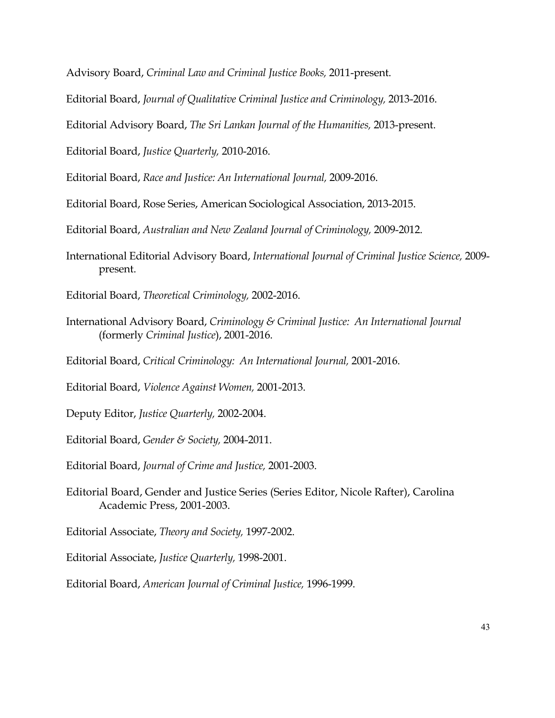Advisory Board, *Criminal Law and Criminal Justice Books,* 2011-present.

Editorial Board, *Journal of Qualitative Criminal Justice and Criminology,* 2013-2016.

Editorial Advisory Board, *The Sri Lankan Journal of the Humanities,* 2013-present.

Editorial Board, *Justice Quarterly,* 2010-2016.

Editorial Board, *Race and Justice: An International Journal,* 2009-2016.

Editorial Board, Rose Series, American Sociological Association, 2013-2015.

Editorial Board, *Australian and New Zealand Journal of Criminology,* 2009-2012.

International Editorial Advisory Board, *International Journal of Criminal Justice Science,* 2009 present.

Editorial Board, *Theoretical Criminology,* 2002-2016.

- International Advisory Board, *Criminology & Criminal Justice: An International Journal* (formerly *Criminal Justice*), 2001-2016.
- Editorial Board, *Critical Criminology: An International Journal,* 2001-2016.
- Editorial Board, *Violence Against Women,* 2001-2013.

Deputy Editor, *Justice Quarterly,* 2002-2004.

Editorial Board, *Gender & Society,* 2004-2011.

- Editorial Board, *Journal of Crime and Justice,* 2001-2003.
- Editorial Board, Gender and Justice Series (Series Editor, Nicole Rafter), Carolina Academic Press, 2001-2003.

Editorial Associate, *Theory and Society,* 1997-2002.

Editorial Associate, *Justice Quarterly,* 1998-2001.

Editorial Board, *American Journal of Criminal Justice,* 1996-1999.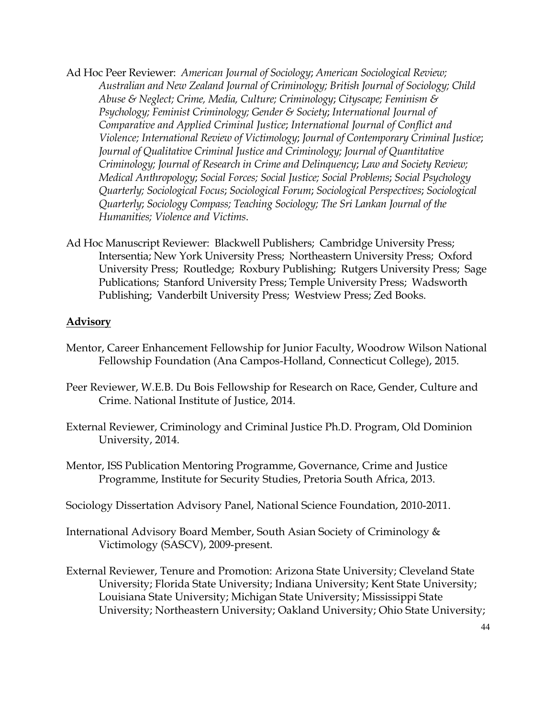- Ad Hoc Peer Reviewer: *American Journal of Sociology*; *American Sociological Review; Australian and New Zealand Journal of Criminology; British Journal of Sociology; Child Abuse & Neglect; Crime, Media, Culture; Criminology*; *Cityscape; Feminism & Psychology; Feminist Criminology; Gender & Society*; *International Journal of Comparative and Applied Criminal Justice*; *International Journal of Conflict and Violence; International Review of Victimology*; *Journal of Contemporary Criminal Justice*; *Journal of Qualitative Criminal Justice and Criminology; Journal of Quantitative Criminology; Journal of Research in Crime and Delinquency*; *Law and Society Review; Medical Anthropology*; *Social Forces; Social Justice; Social Problems*; *Social Psychology Quarterly; Sociological Focus*; *Sociological Forum*; *Sociological Perspectives*; *Sociological Quarterly*; *Sociology Compass; Teaching Sociology; The Sri Lankan Journal of the Humanities; Violence and Victims*.
- Ad Hoc Manuscript Reviewer: Blackwell Publishers; Cambridge University Press; Intersentia; New York University Press; Northeastern University Press; Oxford University Press; Routledge; Roxbury Publishing; Rutgers University Press; Sage Publications; Stanford University Press; Temple University Press; Wadsworth Publishing; Vanderbilt University Press; Westview Press; Zed Books.

#### **Advisory**

- Mentor, Career Enhancement Fellowship for Junior Faculty, Woodrow Wilson National Fellowship Foundation (Ana Campos-Holland, Connecticut College), 2015.
- Peer Reviewer, W.E.B. Du Bois Fellowship for Research on Race, Gender, Culture and Crime. National Institute of Justice, 2014.
- External Reviewer, Criminology and Criminal Justice Ph.D. Program, Old Dominion University, 2014.
- Mentor, ISS Publication Mentoring Programme, Governance, Crime and Justice Programme, Institute for Security Studies, Pretoria South Africa, 2013.
- Sociology Dissertation Advisory Panel, National Science Foundation, 2010-2011.
- International Advisory Board Member, South Asian Society of Criminology & Victimology (SASCV), 2009-present.
- External Reviewer, Tenure and Promotion: Arizona State University; Cleveland State University; Florida State University; Indiana University; Kent State University; Louisiana State University; Michigan State University; Mississippi State University; Northeastern University; Oakland University; Ohio State University;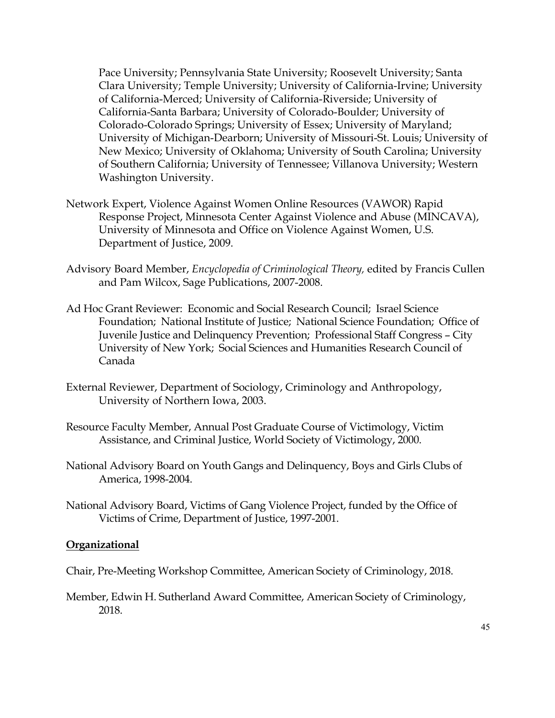Pace University; Pennsylvania State University; Roosevelt University; Santa Clara University; Temple University; University of California-Irvine; University of California-Merced; University of California-Riverside; University of California-Santa Barbara; University of Colorado-Boulder; University of Colorado-Colorado Springs; University of Essex; University of Maryland; University of Michigan-Dearborn; University of Missouri-St. Louis; University of New Mexico; University of Oklahoma; University of South Carolina; University of Southern California; University of Tennessee; Villanova University; Western Washington University.

- Network Expert, Violence Against Women Online Resources (VAWOR) Rapid Response Project, Minnesota Center Against Violence and Abuse (MINCAVA), University of Minnesota and Office on Violence Against Women, U.S. Department of Justice, 2009.
- Advisory Board Member, *Encyclopedia of Criminological Theory,* edited by Francis Cullen and Pam Wilcox, Sage Publications, 2007-2008.
- Ad Hoc Grant Reviewer: Economic and Social Research Council; Israel Science Foundation; National Institute of Justice; National Science Foundation; Office of Juvenile Justice and Delinquency Prevention; Professional Staff Congress – City University of New York; Social Sciences and Humanities Research Council of Canada
- External Reviewer, Department of Sociology, Criminology and Anthropology, University of Northern Iowa, 2003.
- Resource Faculty Member, Annual Post Graduate Course of Victimology, Victim Assistance, and Criminal Justice, World Society of Victimology, 2000.
- National Advisory Board on Youth Gangs and Delinquency, Boys and Girls Clubs of America, 1998-2004.
- National Advisory Board, Victims of Gang Violence Project, funded by the Office of Victims of Crime, Department of Justice, 1997-2001.

#### **Organizational**

Chair, Pre-Meeting Workshop Committee, American Society of Criminology, 2018.

Member, Edwin H. Sutherland Award Committee, American Society of Criminology, 2018.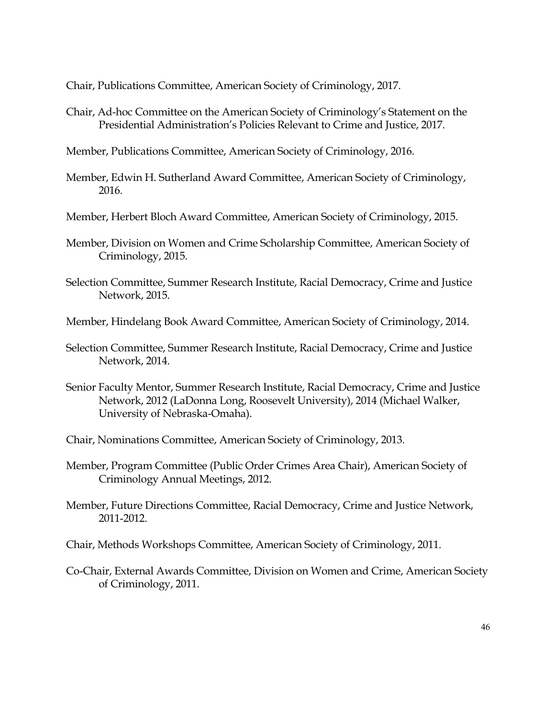Chair, Publications Committee, American Society of Criminology, 2017.

- Chair, Ad-hoc Committee on the American Society of Criminology's Statement on the Presidential Administration's Policies Relevant to Crime and Justice, 2017.
- Member, Publications Committee, American Society of Criminology, 2016.
- Member, Edwin H. Sutherland Award Committee, American Society of Criminology, 2016.
- Member, Herbert Bloch Award Committee, American Society of Criminology, 2015.
- Member, Division on Women and Crime Scholarship Committee, American Society of Criminology, 2015.
- Selection Committee, Summer Research Institute, Racial Democracy, Crime and Justice Network, 2015.
- Member, Hindelang Book Award Committee, American Society of Criminology, 2014.
- Selection Committee, Summer Research Institute, Racial Democracy, Crime and Justice Network, 2014.
- Senior Faculty Mentor, Summer Research Institute, Racial Democracy, Crime and Justice Network, 2012 (LaDonna Long, Roosevelt University), 2014 (Michael Walker, University of Nebraska-Omaha).
- Chair, Nominations Committee, American Society of Criminology, 2013.
- Member, Program Committee (Public Order Crimes Area Chair), American Society of Criminology Annual Meetings, 2012.
- Member, Future Directions Committee, Racial Democracy, Crime and Justice Network, 2011-2012.
- Chair, Methods Workshops Committee, American Society of Criminology, 2011.
- Co-Chair, External Awards Committee, Division on Women and Crime, American Society of Criminology, 2011.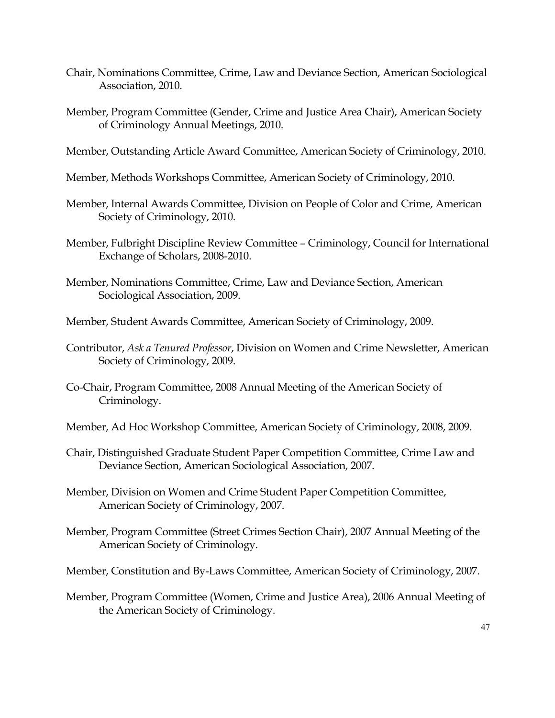- Chair, Nominations Committee, Crime, Law and Deviance Section, American Sociological Association, 2010.
- Member, Program Committee (Gender, Crime and Justice Area Chair), American Society of Criminology Annual Meetings, 2010.
- Member, Outstanding Article Award Committee, American Society of Criminology, 2010.
- Member, Methods Workshops Committee, American Society of Criminology, 2010.
- Member, Internal Awards Committee, Division on People of Color and Crime, American Society of Criminology, 2010.
- Member, Fulbright Discipline Review Committee Criminology, Council for International Exchange of Scholars, 2008-2010.
- Member, Nominations Committee, Crime, Law and Deviance Section, American Sociological Association, 2009.
- Member, Student Awards Committee, American Society of Criminology, 2009.
- Contributor, *Ask a Tenured Professor*, Division on Women and Crime Newsletter, American Society of Criminology, 2009.
- Co-Chair, Program Committee, 2008 Annual Meeting of the American Society of Criminology.
- Member, Ad Hoc Workshop Committee, American Society of Criminology, 2008, 2009.
- Chair, Distinguished Graduate Student Paper Competition Committee, Crime Law and Deviance Section, American Sociological Association, 2007.
- Member, Division on Women and Crime Student Paper Competition Committee, American Society of Criminology, 2007.
- Member, Program Committee (Street Crimes Section Chair), 2007 Annual Meeting of the American Society of Criminology.
- Member, Constitution and By-Laws Committee, American Society of Criminology, 2007.
- Member, Program Committee (Women, Crime and Justice Area), 2006 Annual Meeting of the American Society of Criminology.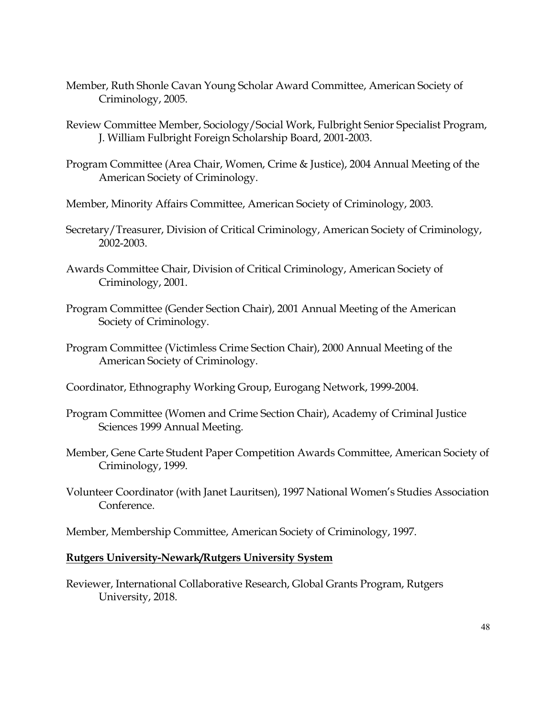- Member, Ruth Shonle Cavan Young Scholar Award Committee, American Society of Criminology, 2005.
- Review Committee Member, Sociology/Social Work, Fulbright Senior Specialist Program, J. William Fulbright Foreign Scholarship Board, 2001-2003.
- Program Committee (Area Chair, Women, Crime & Justice), 2004 Annual Meeting of the American Society of Criminology.
- Member, Minority Affairs Committee, American Society of Criminology, 2003.
- Secretary/Treasurer, Division of Critical Criminology, American Society of Criminology, 2002-2003.
- Awards Committee Chair, Division of Critical Criminology, American Society of Criminology, 2001.
- Program Committee (Gender Section Chair), 2001 Annual Meeting of the American Society of Criminology.
- Program Committee (Victimless Crime Section Chair), 2000 Annual Meeting of the American Society of Criminology.
- Coordinator, Ethnography Working Group, Eurogang Network, 1999-2004.
- Program Committee (Women and Crime Section Chair), Academy of Criminal Justice Sciences 1999 Annual Meeting.
- Member, Gene Carte Student Paper Competition Awards Committee, American Society of Criminology, 1999.
- Volunteer Coordinator (with Janet Lauritsen), 1997 National Women's Studies Association Conference.
- Member, Membership Committee, American Society of Criminology, 1997.

#### **Rutgers University-Newark/Rutgers University System**

Reviewer, International Collaborative Research, Global Grants Program, Rutgers University, 2018.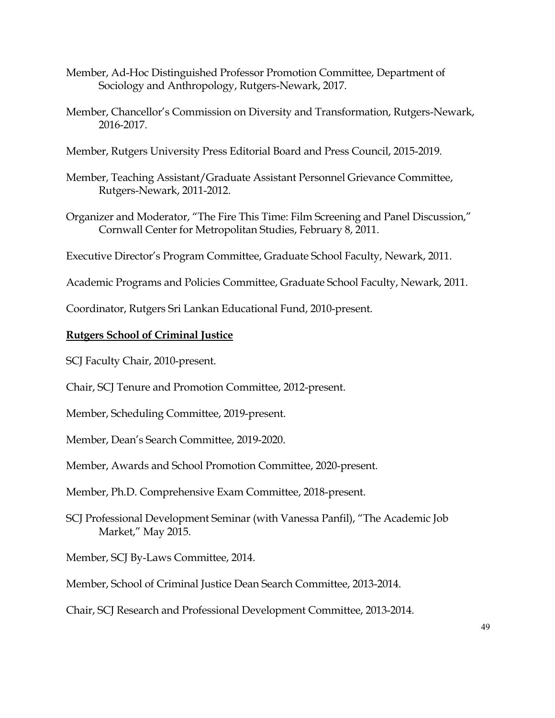- Member, Ad-Hoc Distinguished Professor Promotion Committee, Department of Sociology and Anthropology, Rutgers-Newark, 2017.
- Member, Chancellor's Commission on Diversity and Transformation, Rutgers-Newark, 2016-2017.
- Member, Rutgers University Press Editorial Board and Press Council, 2015-2019.
- Member, Teaching Assistant/Graduate Assistant Personnel Grievance Committee, Rutgers-Newark, 2011-2012.
- Organizer and Moderator, "The Fire This Time: Film Screening and Panel Discussion," Cornwall Center for Metropolitan Studies, February 8, 2011.
- Executive Director's Program Committee, Graduate School Faculty, Newark, 2011.
- Academic Programs and Policies Committee, Graduate School Faculty, Newark, 2011.

Coordinator, Rutgers Sri Lankan Educational Fund, 2010-present.

# **Rutgers School of Criminal Justice**

SCJ Faculty Chair, 2010-present.

Chair, SCJ Tenure and Promotion Committee, 2012-present.

Member, Scheduling Committee, 2019-present.

Member, Dean's Search Committee, 2019-2020.

Member, Awards and School Promotion Committee, 2020-present.

Member, Ph.D. Comprehensive Exam Committee, 2018-present.

SCJ Professional Development Seminar (with Vanessa Panfil), "The Academic Job Market," May 2015.

Member, SCJ By-Laws Committee, 2014.

Member, School of Criminal Justice Dean Search Committee, 2013-2014.

Chair, SCJ Research and Professional Development Committee, 2013-2014.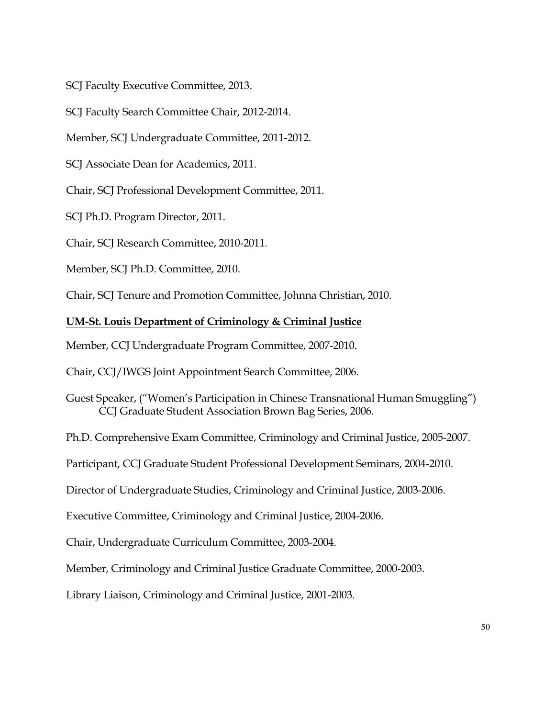SCJ Faculty Executive Committee, 2013.

SCJ Faculty Search Committee Chair, 2012-2014.

Member, SCJ Undergraduate Committee, 2011-2012.

SCJ Associate Dean for Academics, 2011.

Chair, SCJ Professional Development Committee, 2011.

SCJ Ph.D. Program Director, 2011.

Chair, SCJ Research Committee, 2010-2011.

Member, SCJ Ph.D. Committee, 2010.

Chair, SCJ Tenure and Promotion Committee, Johnna Christian, 2010.

#### **UM-St. Louis Department of Criminology & Criminal Justice**

Member, CCJ Undergraduate Program Committee, 2007-2010.

Chair, CCJ/IWGS Joint Appointment Search Committee, 2006.

Guest Speaker, ("Women's Participation in Chinese Transnational Human Smuggling") CCJ Graduate Student Association Brown Bag Series, 2006.

Ph.D. Comprehensive Exam Committee, Criminology and Criminal Justice, 2005-2007.

Participant, CCJ Graduate Student Professional Development Seminars, 2004-2010.

Director of Undergraduate Studies, Criminology and Criminal Justice, 2003-2006.

Executive Committee, Criminology and Criminal Justice, 2004-2006.

Chair, Undergraduate Curriculum Committee, 2003-2004.

Member, Criminology and Criminal Justice Graduate Committee, 2000-2003.

Library Liaison, Criminology and Criminal Justice, 2001-2003.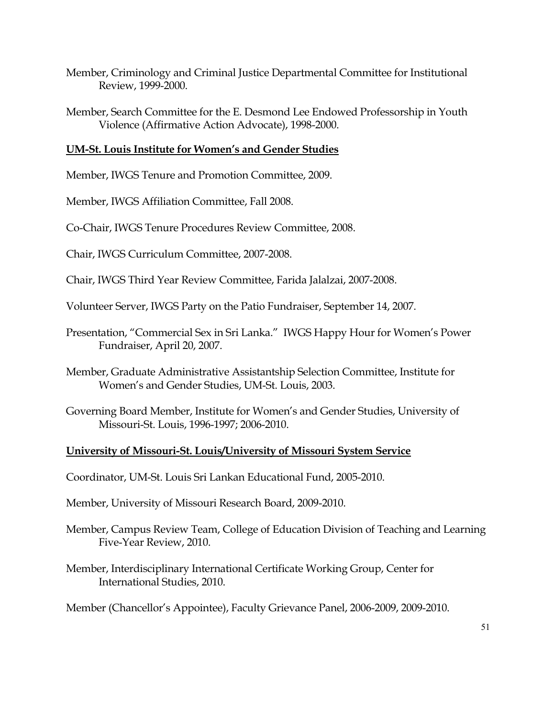- Member, Criminology and Criminal Justice Departmental Committee for Institutional Review, 1999-2000.
- Member, Search Committee for the E. Desmond Lee Endowed Professorship in Youth Violence (Affirmative Action Advocate), 1998-2000.

# **UM-St. Louis Institute for Women's and Gender Studies**

Member, IWGS Tenure and Promotion Committee, 2009.

Member, IWGS Affiliation Committee, Fall 2008.

Co-Chair, IWGS Tenure Procedures Review Committee, 2008.

Chair, IWGS Curriculum Committee, 2007-2008.

Chair, IWGS Third Year Review Committee, Farida Jalalzai, 2007-2008.

Volunteer Server, IWGS Party on the Patio Fundraiser, September 14, 2007.

- Presentation, "Commercial Sex in Sri Lanka." IWGS Happy Hour for Women's Power Fundraiser, April 20, 2007.
- Member, Graduate Administrative Assistantship Selection Committee, Institute for Women's and Gender Studies, UM-St. Louis, 2003.
- Governing Board Member, Institute for Women's and Gender Studies, University of Missouri-St. Louis, 1996-1997; 2006-2010.

# **University of Missouri-St. Louis/University of Missouri System Service**

Coordinator, UM-St. Louis Sri Lankan Educational Fund, 2005-2010.

Member, University of Missouri Research Board, 2009-2010.

- Member, Campus Review Team, College of Education Division of Teaching and Learning Five-Year Review, 2010.
- Member, Interdisciplinary International Certificate Working Group, Center for International Studies, 2010.

Member (Chancellor's Appointee), Faculty Grievance Panel, 2006-2009, 2009-2010.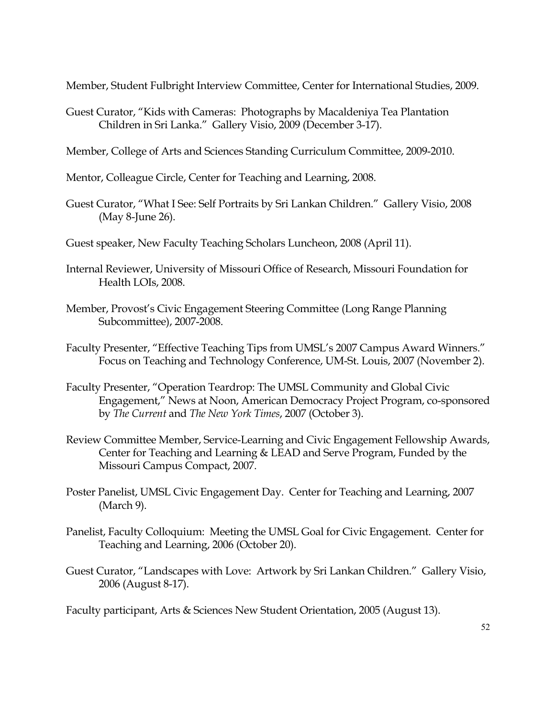Member, Student Fulbright Interview Committee, Center for International Studies, 2009.

- Guest Curator, "Kids with Cameras: Photographs by Macaldeniya Tea Plantation Children in Sri Lanka." Gallery Visio, 2009 (December 3-17).
- Member, College of Arts and Sciences Standing Curriculum Committee, 2009-2010.
- Mentor, Colleague Circle, Center for Teaching and Learning, 2008.
- Guest Curator, "What I See: Self Portraits by Sri Lankan Children." Gallery Visio, 2008 (May 8-June 26).
- Guest speaker, New Faculty Teaching Scholars Luncheon, 2008 (April 11).
- Internal Reviewer, University of Missouri Office of Research, Missouri Foundation for Health LOIs, 2008.
- Member, Provost's Civic Engagement Steering Committee (Long Range Planning Subcommittee), 2007-2008.
- Faculty Presenter, "Effective Teaching Tips from UMSL's 2007 Campus Award Winners." Focus on Teaching and Technology Conference, UM-St. Louis, 2007 (November 2).
- Faculty Presenter, "Operation Teardrop: The UMSL Community and Global Civic Engagement," News at Noon, American Democracy Project Program, co-sponsored by *The Current* and *The New York Times*, 2007 (October 3).
- Review Committee Member, Service-Learning and Civic Engagement Fellowship Awards, Center for Teaching and Learning & LEAD and Serve Program, Funded by the Missouri Campus Compact, 2007.
- Poster Panelist, UMSL Civic Engagement Day. Center for Teaching and Learning, 2007 (March 9).
- Panelist, Faculty Colloquium: Meeting the UMSL Goal for Civic Engagement. Center for Teaching and Learning, 2006 (October 20).
- Guest Curator, "Landscapes with Love: Artwork by Sri Lankan Children." Gallery Visio, 2006 (August 8-17).

Faculty participant, Arts & Sciences New Student Orientation, 2005 (August 13).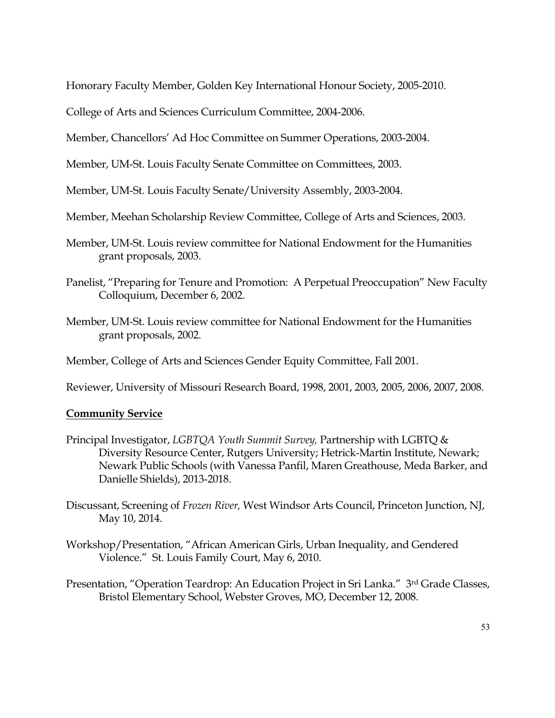Honorary Faculty Member, Golden Key International Honour Society, 2005-2010.

College of Arts and Sciences Curriculum Committee, 2004-2006.

Member, Chancellors' Ad Hoc Committee on Summer Operations, 2003-2004.

Member, UM-St. Louis Faculty Senate Committee on Committees, 2003.

Member, UM-St. Louis Faculty Senate/University Assembly, 2003-2004.

Member, Meehan Scholarship Review Committee, College of Arts and Sciences, 2003.

- Member, UM-St. Louis review committee for National Endowment for the Humanities grant proposals, 2003.
- Panelist, "Preparing for Tenure and Promotion: A Perpetual Preoccupation" New Faculty Colloquium, December 6, 2002.
- Member, UM-St. Louis review committee for National Endowment for the Humanities grant proposals, 2002.

Member, College of Arts and Sciences Gender Equity Committee, Fall 2001.

Reviewer, University of Missouri Research Board, 1998, 2001, 2003, 2005, 2006, 2007, 2008.

# **Community Service**

- Principal Investigator, *LGBTQA Youth Summit Survey,* Partnership with LGBTQ & Diversity Resource Center, Rutgers University; Hetrick-Martin Institute, Newark; Newark Public Schools (with Vanessa Panfil, Maren Greathouse, Meda Barker, and Danielle Shields), 2013-2018.
- Discussant, Screening of *Frozen River,* West Windsor Arts Council, Princeton Junction, NJ, May 10, 2014.
- Workshop/Presentation, "African American Girls, Urban Inequality, and Gendered Violence." St. Louis Family Court, May 6, 2010.
- Presentation, "Operation Teardrop: An Education Project in Sri Lanka." 3rd Grade Classes, Bristol Elementary School, Webster Groves, MO, December 12, 2008.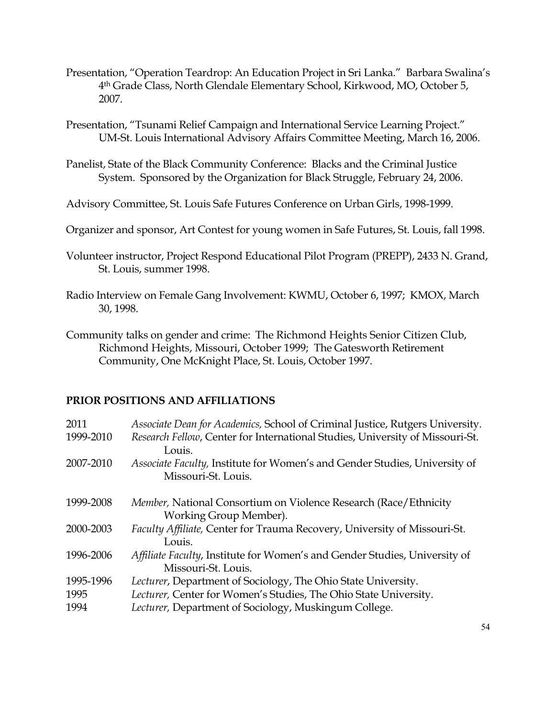- Presentation, "Operation Teardrop: An Education Project in Sri Lanka." Barbara Swalina's 4th Grade Class, North Glendale Elementary School, Kirkwood, MO, October 5, 2007.
- Presentation, "Tsunami Relief Campaign and International Service Learning Project." UM-St. Louis International Advisory Affairs Committee Meeting, March 16, 2006.
- Panelist, State of the Black Community Conference: Blacks and the Criminal Justice System. Sponsored by the Organization for Black Struggle, February 24, 2006.
- Advisory Committee, St. Louis Safe Futures Conference on Urban Girls, 1998-1999.
- Organizer and sponsor, Art Contest for young women in Safe Futures, St. Louis, fall 1998.
- Volunteer instructor, Project Respond Educational Pilot Program (PREPP), 2433 N. Grand, St. Louis, summer 1998.
- Radio Interview on Female Gang Involvement: KWMU, October 6, 1997; KMOX, March 30, 1998.
- Community talks on gender and crime: The Richmond Heights Senior Citizen Club, Richmond Heights, Missouri, October 1999; The Gatesworth Retirement Community, One McKnight Place, St. Louis, October 1997.

# **PRIOR POSITIONS AND AFFILIATIONS**

| Associate Dean for Academics, School of Criminal Justice, Rutgers University.                     |
|---------------------------------------------------------------------------------------------------|
| Research Fellow, Center for International Studies, University of Missouri-St.<br>Louis.           |
| Associate Faculty, Institute for Women's and Gender Studies, University of<br>Missouri-St. Louis. |
| Member, National Consortium on Violence Research (Race/Ethnicity<br>Working Group Member).        |
| Faculty Affiliate, Center for Trauma Recovery, University of Missouri-St.<br>Louis.               |
| Affiliate Faculty, Institute for Women's and Gender Studies, University of<br>Missouri-St. Louis. |
| Lecturer, Department of Sociology, The Ohio State University.                                     |
| Lecturer, Center for Women's Studies, The Ohio State University.                                  |
| Lecturer, Department of Sociology, Muskingum College.                                             |
|                                                                                                   |